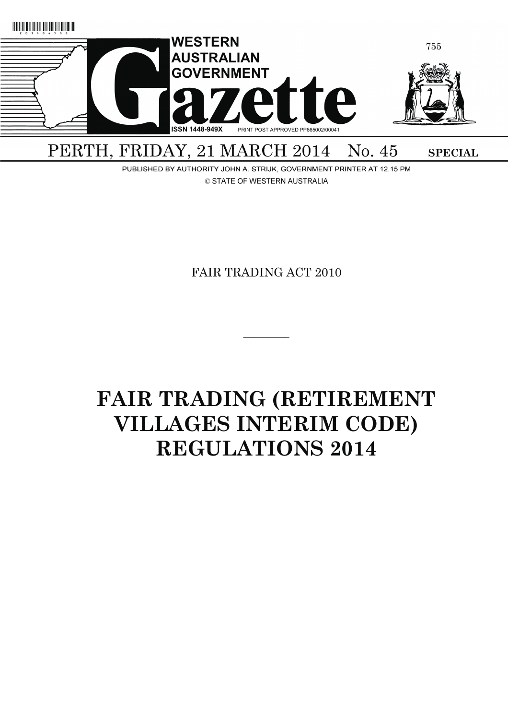

PUBLISHED BY AUTHORITY JOHN A. STRIJK, GOVERNMENT PRINTER AT 12.15 PM

© STATE OF WESTERN AUSTRALIA

FAIR TRADING ACT 2010

 $\overline{\phantom{a}}$ 

# **FAIR TRADING (RETIREMENT VILLAGES INTERIM CODE) REGULATIONS 2014**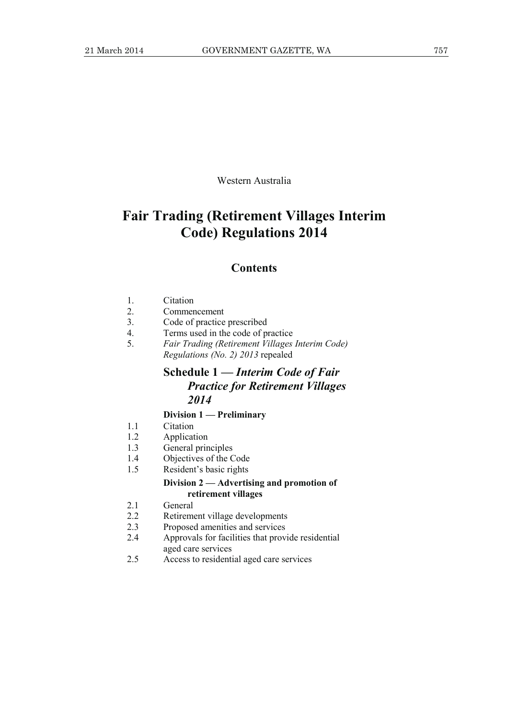Western Australia

### **Fair Trading (Retirement Villages Interim Code) Regulations 2014**

#### **Contents**

| Citation |
|----------|
|          |

- 2. Commencement
- 3. Code of practice prescribed
- 4. Terms used in the code of practice
- 5. *Fair Trading (Retirement Villages Interim Code) Regulations (No. 2) 2013* repealed

#### **Schedule 1 —** *Interim Code of Fair Practice for Retirement Villages 2014*

#### **Division 1 — Preliminary**

- 1.1 Citation
- 1.2 Application
- 1.3 General principles
- 1.4 Objectives of the Code
- 1.5 Resident's basic rights

#### **Division 2 — Advertising and promotion of retirement villages**

- 2.1 General
- 2.2 Retirement village developments
- 2.3 Proposed amenities and services
- 2.4 Approvals for facilities that provide residential aged care services
- 2.5 Access to residential aged care services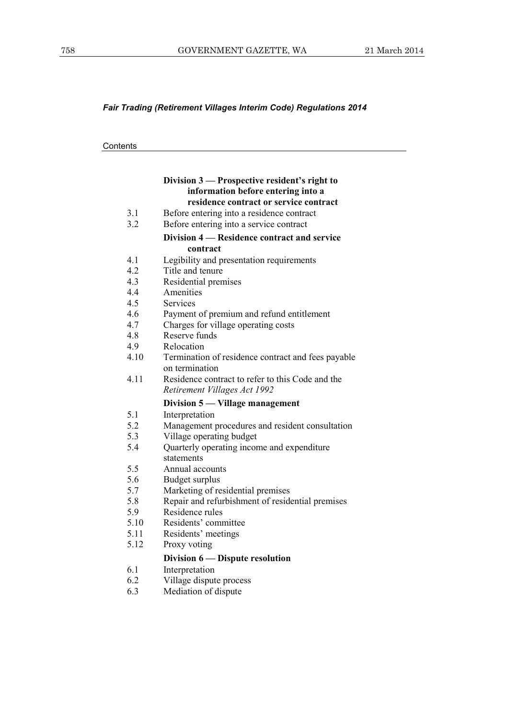#### *Fair Trading (Retirement Villages Interim Code) Regulations 2014*

| Contents |
|----------|
|----------|

|      | Division 3 - Prospective resident's right to                                     |
|------|----------------------------------------------------------------------------------|
|      | information before entering into a                                               |
|      | residence contract or service contract                                           |
| 3.1  | Before entering into a residence contract                                        |
| 3.2  | Before entering into a service contract                                          |
|      | Division 4 – Residence contract and service                                      |
|      | contract                                                                         |
| 4.1  | Legibility and presentation requirements                                         |
| 4.2  | Title and tenure                                                                 |
| 4.3  | Residential premises                                                             |
| 4.4  | Amenities                                                                        |
| 4.5  | Services                                                                         |
| 4.6  | Payment of premium and refund entitlement                                        |
| 4.7  | Charges for village operating costs                                              |
| 4.8  | Reserve funds                                                                    |
| 4.9  | Relocation                                                                       |
| 4.10 | Termination of residence contract and fees payable<br>on termination             |
| 4.11 | Residence contract to refer to this Code and the<br>Retirement Villages Act 1992 |
|      | Division 5 — Village management                                                  |
| 5.1  | Interpretation                                                                   |
| 5.2  | Management procedures and resident consultation                                  |
| 5.3  | Village operating budget                                                         |
| 5.4  | Quarterly operating income and expenditure                                       |
|      | statements                                                                       |
| 5.5  | Annual accounts                                                                  |
| 5.6  | <b>Budget surplus</b>                                                            |
| 5.7  | Marketing of residential premises                                                |
| 5.8  | Repair and refurbishment of residential premises                                 |
| 5.9  | Residence rules                                                                  |
| 5.10 | Residents' committee                                                             |
| 5.11 | Residents' meetings                                                              |
| 5.12 | Proxy voting                                                                     |
|      | Division 6 - Dispute resolution                                                  |
| 6.1  | Interpretation                                                                   |
| 6.2  | Village dispute process                                                          |
| 6.3  | Mediation of dispute                                                             |
|      |                                                                                  |
|      |                                                                                  |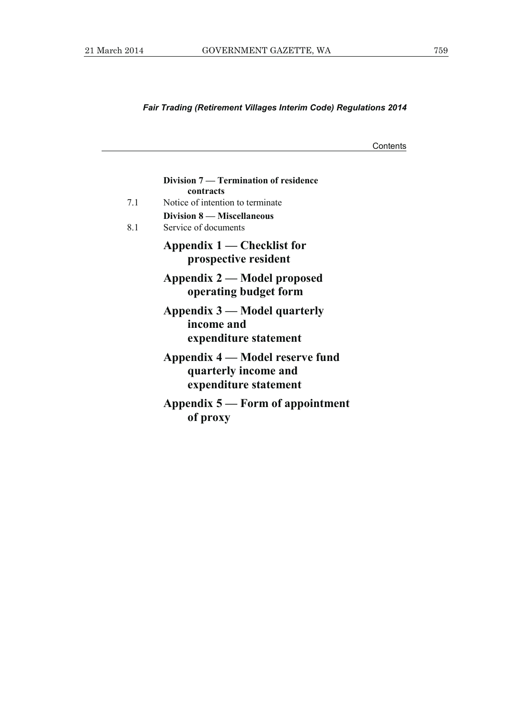### *Fair Trading (Retirement Villages Interim Code) Regulations 2014*

**Contents** 

|     | Division 7 — Termination of residence<br>contracts                               |
|-----|----------------------------------------------------------------------------------|
| 7.1 | Notice of intention to terminate                                                 |
| 8.1 | Division 8 — Miscellaneous<br>Service of documents                               |
|     | Appendix 1 — Checklist for<br>prospective resident                               |
|     | Appendix 2 — Model proposed<br>operating budget form                             |
|     | Appendix $3$ — Model quarterly<br>income and<br>expenditure statement            |
|     | Appendix 4 — Model reserve fund<br>quarterly income and<br>expenditure statement |
|     | Appendix $5$ — Form of appointment<br>of proxy                                   |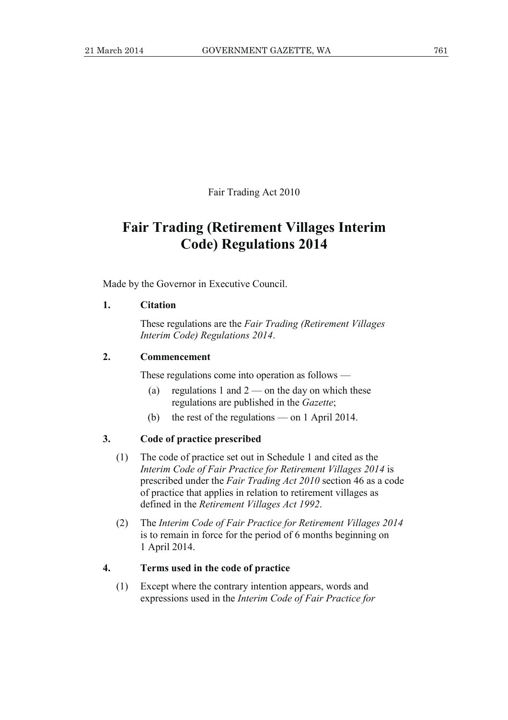Fair Trading Act 2010

### **Fair Trading (Retirement Villages Interim Code) Regulations 2014**

Made by the Governor in Executive Council.

#### **1. Citation**

 These regulations are the *Fair Trading (Retirement Villages Interim Code) Regulations 2014*.

#### **2. Commencement**

These regulations come into operation as follows —

- (a) regulations 1 and  $2$  on the day on which these regulations are published in the *Gazette*;
- (b) the rest of the regulations on 1 April 2014.

#### **3. Code of practice prescribed**

- (1) The code of practice set out in Schedule 1 and cited as the *Interim Code of Fair Practice for Retirement Villages 2014* is prescribed under the *Fair Trading Act 2010* section 46 as a code of practice that applies in relation to retirement villages as defined in the *Retirement Villages Act 1992*.
- (2) The *Interim Code of Fair Practice for Retirement Villages 2014* is to remain in force for the period of 6 months beginning on 1 April 2014.

#### **4. Terms used in the code of practice**

 (1) Except where the contrary intention appears, words and expressions used in the *Interim Code of Fair Practice for*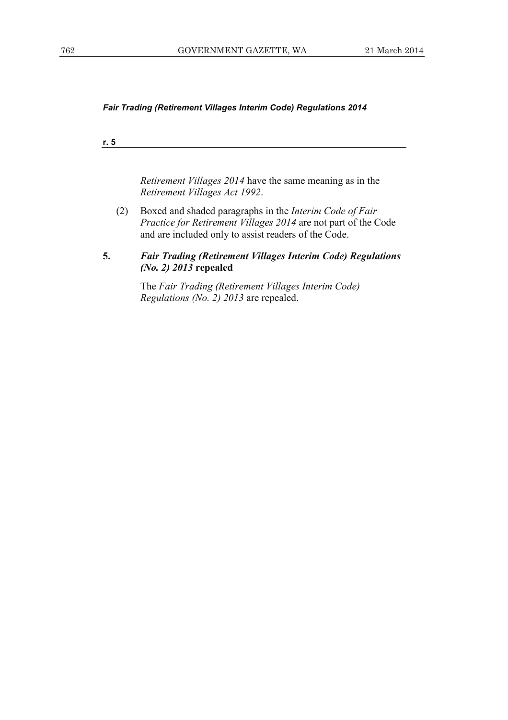*Fair Trading (Retirement Villages Interim Code) Regulations 2014* 

| r. 5 |  |  |  |
|------|--|--|--|
|      |  |  |  |

*Retirement Villages 2014* have the same meaning as in the *Retirement Villages Act 1992*.

- (2) Boxed and shaded paragraphs in the *Interim Code of Fair Practice for Retirement Villages 2014* are not part of the Code and are included only to assist readers of the Code.
- **5.** *Fair Trading (Retirement Villages Interim Code) Regulations (No. 2) 2013* **repealed**

 The *Fair Trading (Retirement Villages Interim Code) Regulations (No. 2) 2013* are repealed.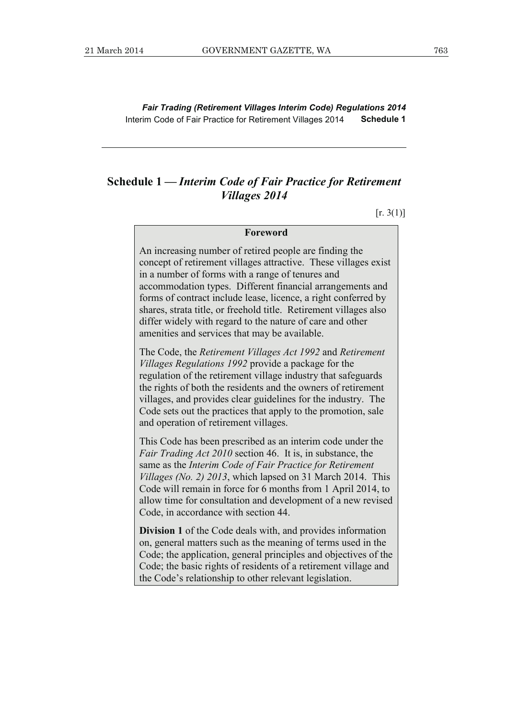*Fair Trading (Retirement Villages Interim Code) Regulations 2014*  Interim Code of Fair Practice for Retirement Villages 2014 **Schedule 1**

#### **Schedule 1 —** *Interim Code of Fair Practice for Retirement Villages 2014*

 $[r. 3(1)]$ 

#### **Foreword**

An increasing number of retired people are finding the concept of retirement villages attractive. These villages exist in a number of forms with a range of tenures and accommodation types. Different financial arrangements and forms of contract include lease, licence, a right conferred by shares, strata title, or freehold title. Retirement villages also differ widely with regard to the nature of care and other amenities and services that may be available.

The Code, the *Retirement Villages Act 1992* and *Retirement Villages Regulations 1992* provide a package for the regulation of the retirement village industry that safeguards the rights of both the residents and the owners of retirement villages, and provides clear guidelines for the industry. The Code sets out the practices that apply to the promotion, sale and operation of retirement villages.

This Code has been prescribed as an interim code under the *Fair Trading Act 2010* section 46. It is, in substance, the same as the *Interim Code of Fair Practice for Retirement Villages (No. 2) 2013*, which lapsed on 31 March 2014. This Code will remain in force for 6 months from 1 April 2014, to allow time for consultation and development of a new revised Code, in accordance with section 44.

**Division 1** of the Code deals with, and provides information on, general matters such as the meaning of terms used in the Code; the application, general principles and objectives of the Code; the basic rights of residents of a retirement village and the Code's relationship to other relevant legislation.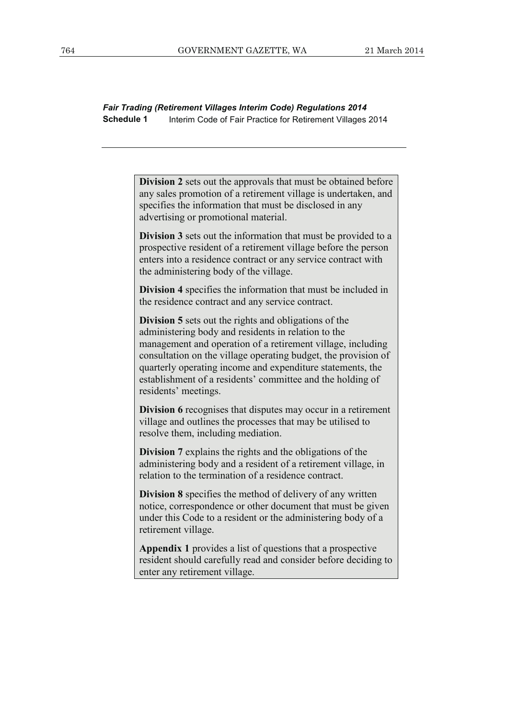*Fair Trading (Retirement Villages Interim Code) Regulations 2014*  **Schedule 1** Interim Code of Fair Practice for Retirement Villages 2014

> **Division 2** sets out the approvals that must be obtained before any sales promotion of a retirement village is undertaken, and specifies the information that must be disclosed in any advertising or promotional material.

> **Division 3** sets out the information that must be provided to a prospective resident of a retirement village before the person enters into a residence contract or any service contract with the administering body of the village.

**Division 4** specifies the information that must be included in the residence contract and any service contract.

**Division 5** sets out the rights and obligations of the administering body and residents in relation to the management and operation of a retirement village, including consultation on the village operating budget, the provision of quarterly operating income and expenditure statements, the establishment of a residents' committee and the holding of residents' meetings.

**Division 6** recognises that disputes may occur in a retirement village and outlines the processes that may be utilised to resolve them, including mediation.

**Division 7** explains the rights and the obligations of the administering body and a resident of a retirement village, in relation to the termination of a residence contract.

**Division 8** specifies the method of delivery of any written notice, correspondence or other document that must be given under this Code to a resident or the administering body of a retirement village.

**Appendix 1** provides a list of questions that a prospective resident should carefully read and consider before deciding to enter any retirement village.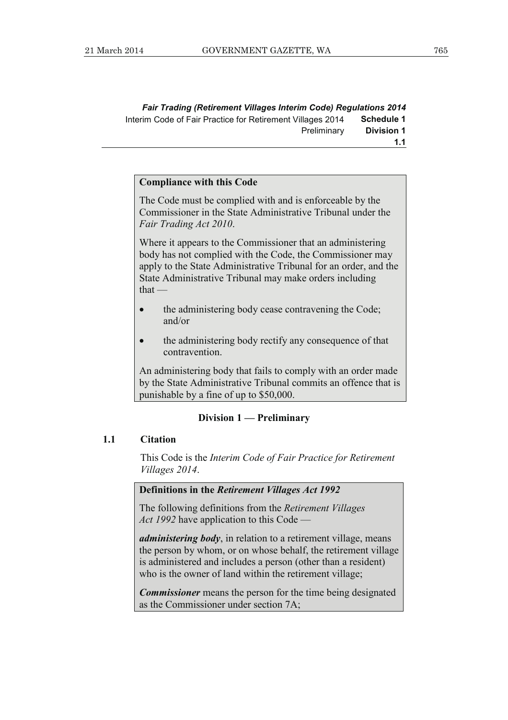*Fair Trading (Retirement Villages Interim Code) Regulations 2014*  Interim Code of Fair Practice for Retirement Villages 2014 **Schedule 1** Preliminary **Division 1 1.1** 

#### **Compliance with this Code**

The Code must be complied with and is enforceable by the Commissioner in the State Administrative Tribunal under the *Fair Trading Act 2010*.

Where it appears to the Commissioner that an administering body has not complied with the Code, the Commissioner may apply to the State Administrative Tribunal for an order, and the State Administrative Tribunal may make orders including  $that -$ 

- the administering body cease contravening the Code; and/or
- the administering body rectify any consequence of that contravention.

An administering body that fails to comply with an order made by the State Administrative Tribunal commits an offence that is punishable by a fine of up to \$50,000.

#### **Division 1 — Preliminary**

#### **1.1 Citation**

 This Code is the *Interim Code of Fair Practice for Retirement Villages 2014*.

#### **Definitions in the** *Retirement Villages Act 1992*

The following definitions from the *Retirement Villages Act 1992* have application to this Code —

*administering body*, in relation to a retirement village, means the person by whom, or on whose behalf, the retirement village is administered and includes a person (other than a resident) who is the owner of land within the retirement village;

*Commissioner* means the person for the time being designated as the Commissioner under section 7A;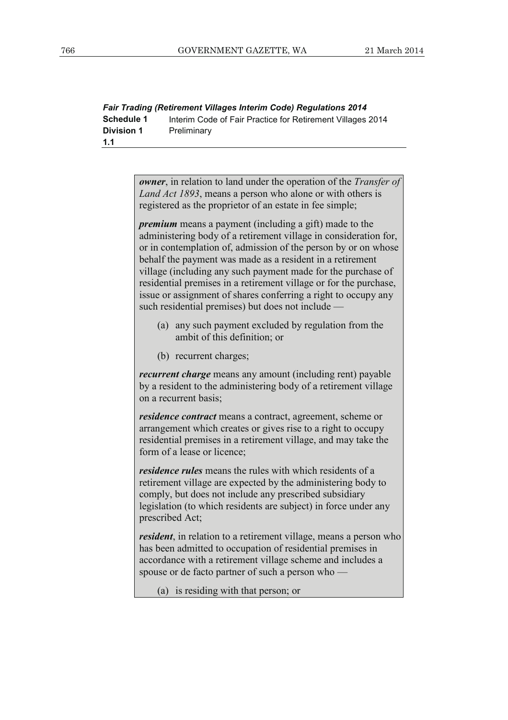*Fair Trading (Retirement Villages Interim Code) Regulations 2014*  **Schedule 1** Interim Code of Fair Practice for Retirement Villages 2014 **Division 1** Preliminary **1.1** 

> *owner*, in relation to land under the operation of the *Transfer of Land Act 1893*, means a person who alone or with others is registered as the proprietor of an estate in fee simple;

> *premium* means a payment (including a gift) made to the administering body of a retirement village in consideration for, or in contemplation of, admission of the person by or on whose behalf the payment was made as a resident in a retirement village (including any such payment made for the purchase of residential premises in a retirement village or for the purchase, issue or assignment of shares conferring a right to occupy any such residential premises) but does not include —

- (a) any such payment excluded by regulation from the ambit of this definition; or
- (b) recurrent charges;

*recurrent charge* means any amount (including rent) payable by a resident to the administering body of a retirement village on a recurrent basis;

*residence contract* means a contract, agreement, scheme or arrangement which creates or gives rise to a right to occupy residential premises in a retirement village, and may take the form of a lease or licence;

*residence rules* means the rules with which residents of a retirement village are expected by the administering body to comply, but does not include any prescribed subsidiary legislation (to which residents are subject) in force under any prescribed Act;

*resident*, in relation to a retirement village, means a person who has been admitted to occupation of residential premises in accordance with a retirement village scheme and includes a spouse or de facto partner of such a person who —

(a) is residing with that person; or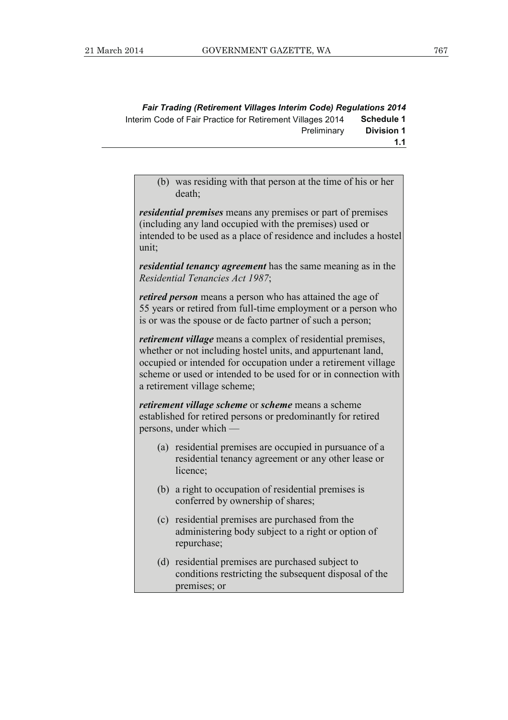*Fair Trading (Retirement Villages Interim Code) Regulations 2014*  Interim Code of Fair Practice for Retirement Villages 2014 **Schedule 1** Preliminary **Division 1 1.1** 

> (b) was residing with that person at the time of his or her death;

*residential premises* means any premises or part of premises (including any land occupied with the premises) used or intended to be used as a place of residence and includes a hostel unit;

*residential tenancy agreement* has the same meaning as in the *Residential Tenancies Act 1987*;

*retired person* means a person who has attained the age of 55 years or retired from full-time employment or a person who is or was the spouse or de facto partner of such a person;

*retirement village* means a complex of residential premises, whether or not including hostel units, and appurtenant land, occupied or intended for occupation under a retirement village scheme or used or intended to be used for or in connection with a retirement village scheme;

*retirement village scheme* or *scheme* means a scheme established for retired persons or predominantly for retired persons, under which —

- (a) residential premises are occupied in pursuance of a residential tenancy agreement or any other lease or licence;
- (b) a right to occupation of residential premises is conferred by ownership of shares;
- (c) residential premises are purchased from the administering body subject to a right or option of repurchase;
- (d) residential premises are purchased subject to conditions restricting the subsequent disposal of the premises; or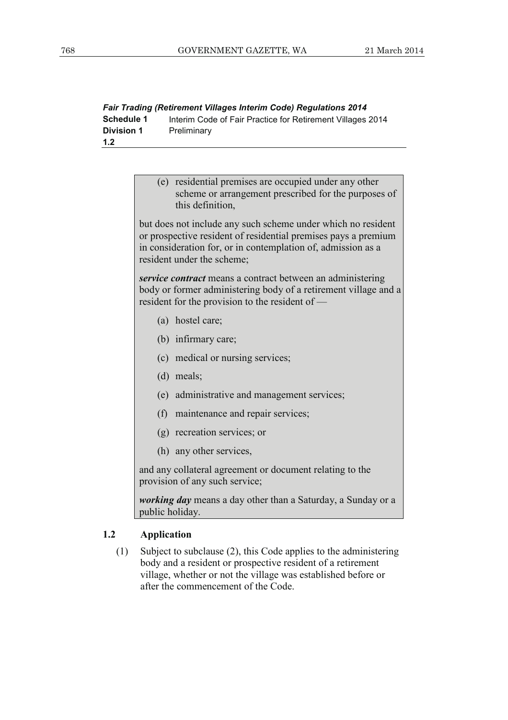| Fair Trading (Retirement Villages Interim Code) Regulations 2014 |                                                            |  |
|------------------------------------------------------------------|------------------------------------------------------------|--|
| <b>Schedule 1</b>                                                | Interim Code of Fair Practice for Retirement Villages 2014 |  |
| <b>Division 1</b>                                                | Preliminary                                                |  |
| 1.2                                                              |                                                            |  |

 (e) residential premises are occupied under any other scheme or arrangement prescribed for the purposes of this definition,

but does not include any such scheme under which no resident or prospective resident of residential premises pays a premium in consideration for, or in contemplation of, admission as a resident under the scheme;

*service contract* means a contract between an administering body or former administering body of a retirement village and a resident for the provision to the resident of —

- (a) hostel care;
- (b) infirmary care;
- (c) medical or nursing services;
- (d) meals;
- (e) administrative and management services;
- (f) maintenance and repair services;
- (g) recreation services; or
- (h) any other services,

and any collateral agreement or document relating to the provision of any such service;

*working day* means a day other than a Saturday, a Sunday or a public holiday.

#### **1.2 Application**

 (1) Subject to subclause (2), this Code applies to the administering body and a resident or prospective resident of a retirement village, whether or not the village was established before or after the commencement of the Code.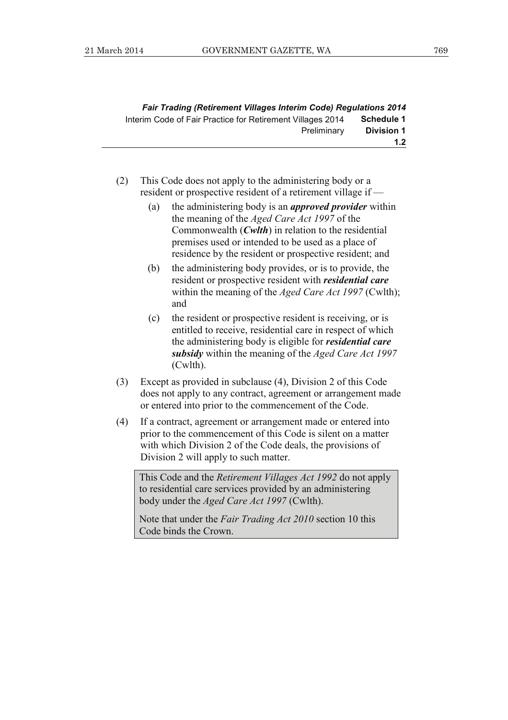|                   | <b>Fair Trading (Retirement Villages Interim Code) Regulations 2014</b> |
|-------------------|-------------------------------------------------------------------------|
| Schedule 1        | Interim Code of Fair Practice for Retirement Villages 2014              |
| <b>Division 1</b> | Preliminary                                                             |
| 1.2 <sub>1</sub>  |                                                                         |

- (2) This Code does not apply to the administering body or a resident or prospective resident of a retirement village if —
	- (a) the administering body is an *approved provider* within the meaning of the *Aged Care Act 1997* of the Commonwealth (*Cwlth*) in relation to the residential premises used or intended to be used as a place of residence by the resident or prospective resident; and
	- (b) the administering body provides, or is to provide, the resident or prospective resident with *residential care* within the meaning of the *Aged Care Act 1997* (Cwlth); and
	- (c) the resident or prospective resident is receiving, or is entitled to receive, residential care in respect of which the administering body is eligible for *residential care subsidy* within the meaning of the *Aged Care Act 1997* (Cwlth).
- (3) Except as provided in subclause (4), Division 2 of this Code does not apply to any contract, agreement or arrangement made or entered into prior to the commencement of the Code.
- (4) If a contract, agreement or arrangement made or entered into prior to the commencement of this Code is silent on a matter with which Division 2 of the Code deals, the provisions of Division 2 will apply to such matter.

This Code and the *Retirement Villages Act 1992* do not apply to residential care services provided by an administering body under the *Aged Care Act 1997* (Cwlth).

Note that under the *Fair Trading Act 2010* section 10 this Code binds the Crown.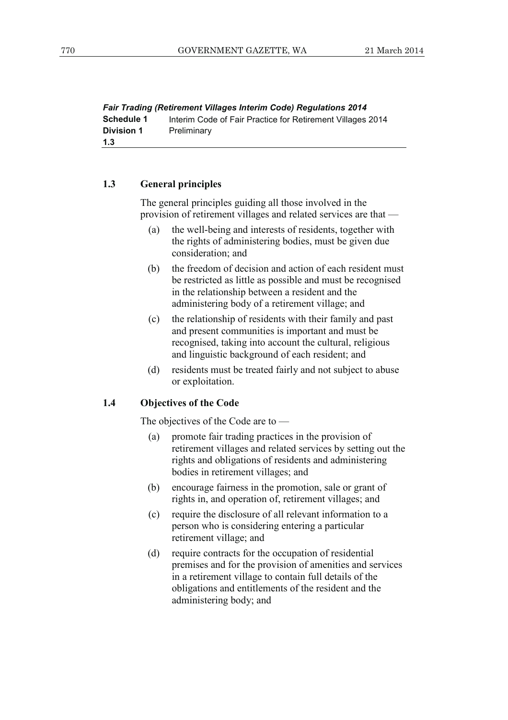*Fair Trading (Retirement Villages Interim Code) Regulations 2014*  **Schedule 1** Interim Code of Fair Practice for Retirement Villages 2014 **Division 1** Preliminary **1.3** 

#### **1.3 General principles**

 The general principles guiding all those involved in the provision of retirement villages and related services are that —

- (a) the well-being and interests of residents, together with the rights of administering bodies, must be given due consideration; and
- (b) the freedom of decision and action of each resident must be restricted as little as possible and must be recognised in the relationship between a resident and the administering body of a retirement village; and
- (c) the relationship of residents with their family and past and present communities is important and must be recognised, taking into account the cultural, religious and linguistic background of each resident; and
- (d) residents must be treated fairly and not subject to abuse or exploitation.

#### **1.4 Objectives of the Code**

The objectives of the Code are to —

- (a) promote fair trading practices in the provision of retirement villages and related services by setting out the rights and obligations of residents and administering bodies in retirement villages; and
- (b) encourage fairness in the promotion, sale or grant of rights in, and operation of, retirement villages; and
- (c) require the disclosure of all relevant information to a person who is considering entering a particular retirement village; and
- (d) require contracts for the occupation of residential premises and for the provision of amenities and services in a retirement village to contain full details of the obligations and entitlements of the resident and the administering body; and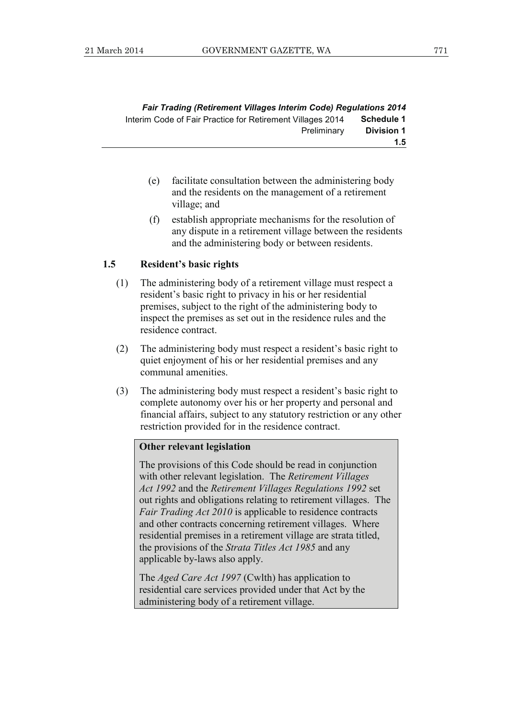|            | <b>Fair Trading (Retirement Villages Interim Code) Regulations 2014</b> |
|------------|-------------------------------------------------------------------------|
| Schedule 1 | Interim Code of Fair Practice for Retirement Villages 2014              |
| Division 1 | Preliminary                                                             |
| 1.5        |                                                                         |

- (e) facilitate consultation between the administering body and the residents on the management of a retirement village; and
- (f) establish appropriate mechanisms for the resolution of any dispute in a retirement village between the residents and the administering body or between residents.

#### **1.5 Resident's basic rights**

- (1) The administering body of a retirement village must respect a resident's basic right to privacy in his or her residential premises, subject to the right of the administering body to inspect the premises as set out in the residence rules and the residence contract.
- (2) The administering body must respect a resident's basic right to quiet enjoyment of his or her residential premises and any communal amenities.
- (3) The administering body must respect a resident's basic right to complete autonomy over his or her property and personal and financial affairs, subject to any statutory restriction or any other restriction provided for in the residence contract.

#### **Other relevant legislation**

The provisions of this Code should be read in conjunction with other relevant legislation. The *Retirement Villages Act 1992* and the *Retirement Villages Regulations 1992* set out rights and obligations relating to retirement villages. The *Fair Trading Act 2010* is applicable to residence contracts and other contracts concerning retirement villages. Where residential premises in a retirement village are strata titled, the provisions of the *Strata Titles Act 1985* and any applicable by-laws also apply.

The *Aged Care Act 1997* (Cwlth) has application to residential care services provided under that Act by the administering body of a retirement village.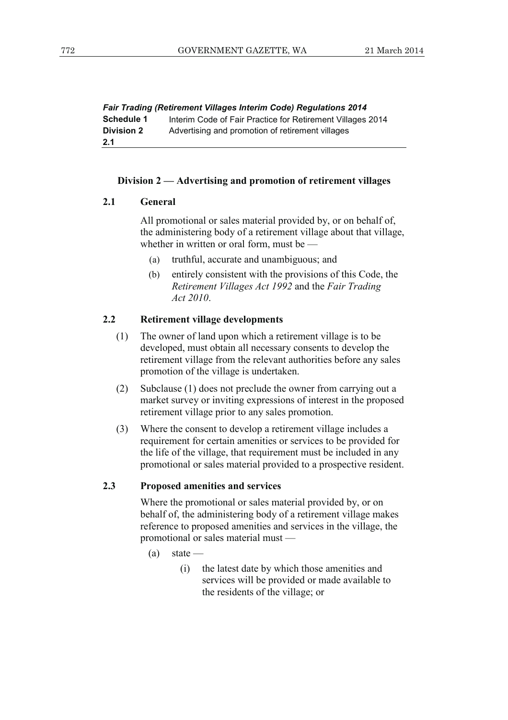*Fair Trading (Retirement Villages Interim Code) Regulations 2014*  **Schedule 1** Interim Code of Fair Practice for Retirement Villages 2014 **Division 2** Advertising and promotion of retirement villages **2.1** 

#### **Division 2 — Advertising and promotion of retirement villages**

#### **2.1 General**

 All promotional or sales material provided by, or on behalf of, the administering body of a retirement village about that village, whether in written or oral form, must be —

- (a) truthful, accurate and unambiguous; and
- (b) entirely consistent with the provisions of this Code, the *Retirement Villages Act 1992* and the *Fair Trading Act 2010*.

#### **2.2 Retirement village developments**

- (1) The owner of land upon which a retirement village is to be developed, must obtain all necessary consents to develop the retirement village from the relevant authorities before any sales promotion of the village is undertaken.
- (2) Subclause (1) does not preclude the owner from carrying out a market survey or inviting expressions of interest in the proposed retirement village prior to any sales promotion.
- (3) Where the consent to develop a retirement village includes a requirement for certain amenities or services to be provided for the life of the village, that requirement must be included in any promotional or sales material provided to a prospective resident.

#### **2.3 Proposed amenities and services**

 Where the promotional or sales material provided by, or on behalf of, the administering body of a retirement village makes reference to proposed amenities and services in the village, the promotional or sales material must —

- $(a)$  state
	- (i) the latest date by which those amenities and services will be provided or made available to the residents of the village; or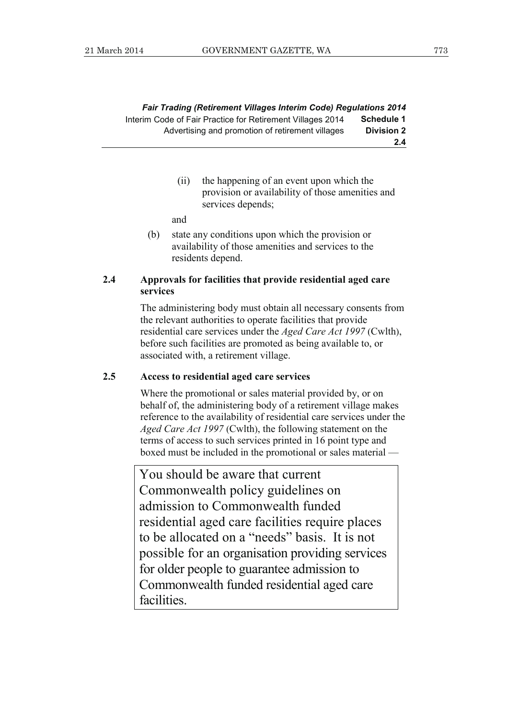*Fair Trading (Retirement Villages Interim Code) Regulations 2014*  Interim Code of Fair Practice for Retirement Villages 2014 **Schedule 1** Advertising and promotion of retirement villages **Division 2 2.4** 

> (ii) the happening of an event upon which the provision or availability of those amenities and services depends;

and

 (b) state any conditions upon which the provision or availability of those amenities and services to the residents depend.

#### **2.4 Approvals for facilities that provide residential aged care services**

 The administering body must obtain all necessary consents from the relevant authorities to operate facilities that provide residential care services under the *Aged Care Act 1997* (Cwlth), before such facilities are promoted as being available to, or associated with, a retirement village.

#### **2.5 Access to residential aged care services**

 Where the promotional or sales material provided by, or on behalf of, the administering body of a retirement village makes reference to the availability of residential care services under the *Aged Care Act 1997* (Cwlth), the following statement on the terms of access to such services printed in 16 point type and boxed must be included in the promotional or sales material —

You should be aware that current Commonwealth policy guidelines on admission to Commonwealth funded residential aged care facilities require places to be allocated on a "needs" basis. It is not possible for an organisation providing services for older people to guarantee admission to Commonwealth funded residential aged care facilities.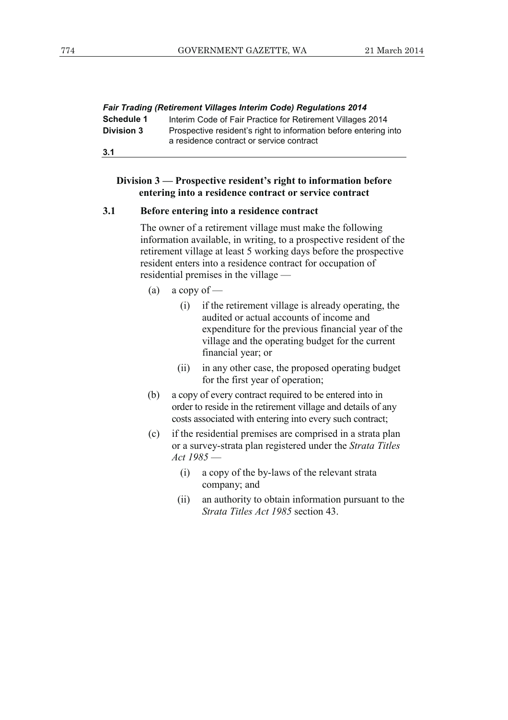| <b>Fair Trading (Retirement Villages Interim Code) Regulations 2014</b> |                                                                                                              |  |
|-------------------------------------------------------------------------|--------------------------------------------------------------------------------------------------------------|--|
| Schedule 1                                                              | Interim Code of Fair Practice for Retirement Villages 2014                                                   |  |
| <b>Division 3</b>                                                       | Prospective resident's right to information before entering into<br>a residence contract or service contract |  |
| 3.1                                                                     |                                                                                                              |  |

#### **Division 3 — Prospective resident's right to information before entering into a residence contract or service contract**

#### **3.1 Before entering into a residence contract**

 The owner of a retirement village must make the following information available, in writing, to a prospective resident of the retirement village at least 5 working days before the prospective resident enters into a residence contract for occupation of residential premises in the village —

- (a) a copy of  $-$ 
	- (i) if the retirement village is already operating, the audited or actual accounts of income and expenditure for the previous financial year of the village and the operating budget for the current financial year; or
	- (ii) in any other case, the proposed operating budget for the first year of operation;
- (b) a copy of every contract required to be entered into in order to reside in the retirement village and details of any costs associated with entering into every such contract;
- (c) if the residential premises are comprised in a strata plan or a survey-strata plan registered under the *Strata Titles Act 1985* —
	- (i) a copy of the by-laws of the relevant strata company; and
	- (ii) an authority to obtain information pursuant to the *Strata Titles Act 1985* section 43.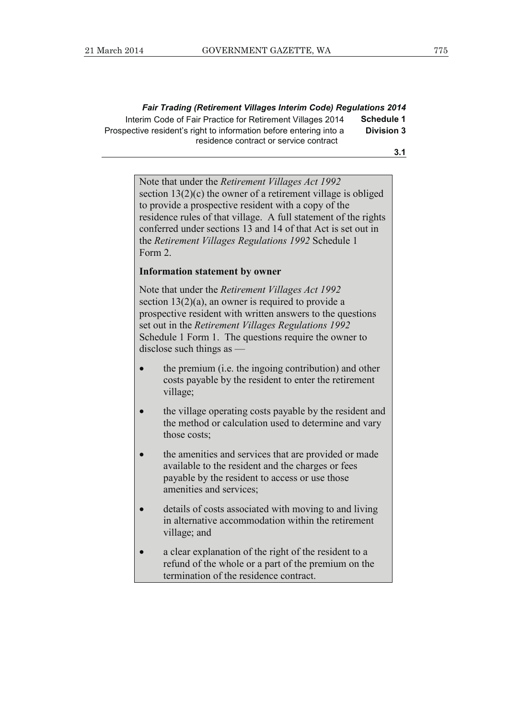*Fair Trading (Retirement Villages Interim Code) Regulations 2014*  Interim Code of Fair Practice for Retirement Villages 2014 **Schedule 1** Prospective resident's right to information before entering into a residence contract or service contract **Division 3** 

**3.1** 

Note that under the *Retirement Villages Act 1992* section 13(2)(c) the owner of a retirement village is obliged to provide a prospective resident with a copy of the residence rules of that village. A full statement of the rights conferred under sections 13 and 14 of that Act is set out in the *Retirement Villages Regulations 1992* Schedule 1 Form 2.

#### **Information statement by owner**

Note that under the *Retirement Villages Act 1992* section 13(2)(a), an owner is required to provide a prospective resident with written answers to the questions set out in the *Retirement Villages Regulations 1992*  Schedule 1 Form 1. The questions require the owner to disclose such things as —

- the premium (i.e. the ingoing contribution) and other costs payable by the resident to enter the retirement village;
- the village operating costs payable by the resident and the method or calculation used to determine and vary those costs:
- the amenities and services that are provided or made available to the resident and the charges or fees payable by the resident to access or use those amenities and services;
- details of costs associated with moving to and living in alternative accommodation within the retirement village; and
- a clear explanation of the right of the resident to a refund of the whole or a part of the premium on the termination of the residence contract.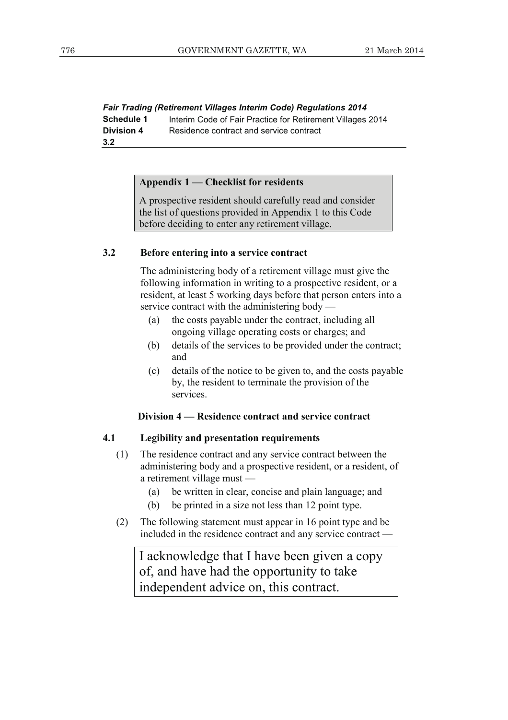*Fair Trading (Retirement Villages Interim Code) Regulations 2014*  **Schedule 1** Interim Code of Fair Practice for Retirement Villages 2014 **Division 4** Residence contract and service contract **3.2** 

#### **Appendix 1 — Checklist for residents**

A prospective resident should carefully read and consider the list of questions provided in Appendix 1 to this Code before deciding to enter any retirement village.

#### **3.2 Before entering into a service contract**

 The administering body of a retirement village must give the following information in writing to a prospective resident, or a resident, at least 5 working days before that person enters into a service contract with the administering body —

- (a) the costs payable under the contract, including all ongoing village operating costs or charges; and
- (b) details of the services to be provided under the contract; and
- (c) details of the notice to be given to, and the costs payable by, the resident to terminate the provision of the services.

#### **Division 4 — Residence contract and service contract**

#### **4.1 Legibility and presentation requirements**

- (1) The residence contract and any service contract between the administering body and a prospective resident, or a resident, of a retirement village must —
	- (a) be written in clear, concise and plain language; and
	- (b) be printed in a size not less than 12 point type.
- (2) The following statement must appear in 16 point type and be included in the residence contract and any service contract —

I acknowledge that I have been given a copy of, and have had the opportunity to take independent advice on, this contract.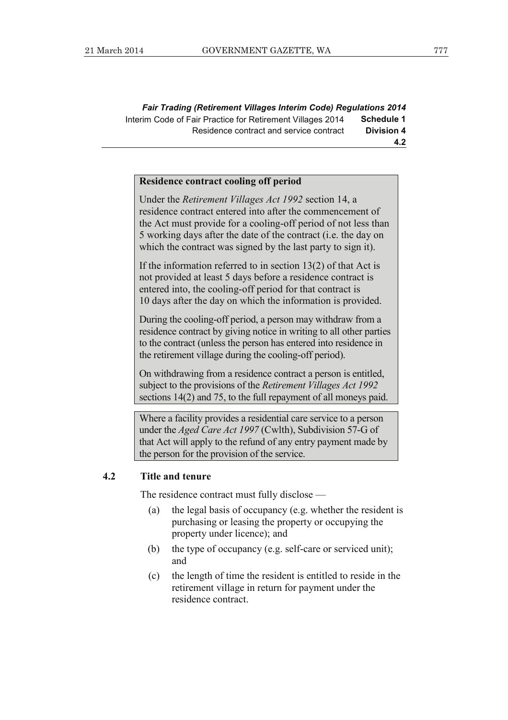*Fair Trading (Retirement Villages Interim Code) Regulations 2014*  Interim Code of Fair Practice for Retirement Villages 2014 **Schedule 1** Residence contract and service contract **Division 4 4.2** 

#### **Residence contract cooling off period**

Under the *Retirement Villages Act 1992* section 14, a residence contract entered into after the commencement of the Act must provide for a cooling-off period of not less than 5 working days after the date of the contract (i.e. the day on which the contract was signed by the last party to sign it).

If the information referred to in section 13(2) of that Act is not provided at least 5 days before a residence contract is entered into, the cooling-off period for that contract is 10 days after the day on which the information is provided.

During the cooling-off period, a person may withdraw from a residence contract by giving notice in writing to all other parties to the contract (unless the person has entered into residence in the retirement village during the cooling-off period).

On withdrawing from a residence contract a person is entitled, subject to the provisions of the *Retirement Villages Act 1992* sections 14(2) and 75, to the full repayment of all moneys paid.

Where a facility provides a residential care service to a person under the *Aged Care Act 1997* (Cwlth), Subdivision 57-G of that Act will apply to the refund of any entry payment made by the person for the provision of the service.

#### **4.2 Title and tenure**

The residence contract must fully disclose —

- (a) the legal basis of occupancy (e.g. whether the resident is purchasing or leasing the property or occupying the property under licence); and
- (b) the type of occupancy (e.g. self-care or serviced unit); and
- (c) the length of time the resident is entitled to reside in the retirement village in return for payment under the residence contract.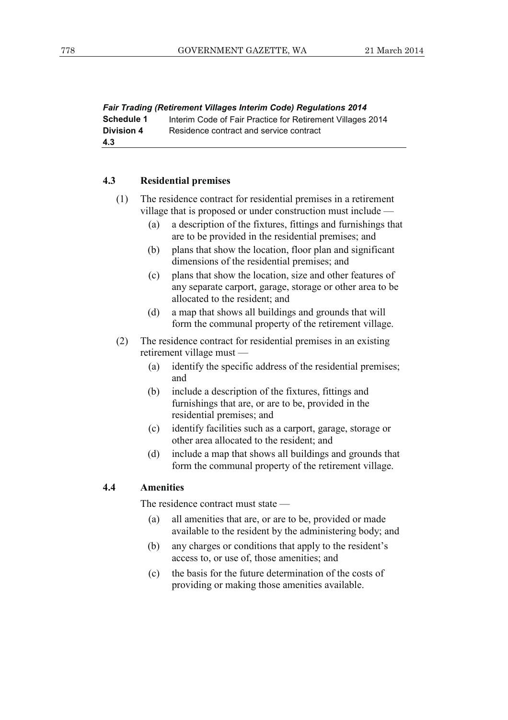*Fair Trading (Retirement Villages Interim Code) Regulations 2014*  **Schedule 1** Interim Code of Fair Practice for Retirement Villages 2014 **Division 4** Residence contract and service contract **4.3** 

#### **4.3 Residential premises**

- (1) The residence contract for residential premises in a retirement village that is proposed or under construction must include —
	- (a) a description of the fixtures, fittings and furnishings that are to be provided in the residential premises; and
	- (b) plans that show the location, floor plan and significant dimensions of the residential premises; and
	- (c) plans that show the location, size and other features of any separate carport, garage, storage or other area to be allocated to the resident; and
	- (d) a map that shows all buildings and grounds that will form the communal property of the retirement village.
- (2) The residence contract for residential premises in an existing retirement village must —
	- (a) identify the specific address of the residential premises; and
	- (b) include a description of the fixtures, fittings and furnishings that are, or are to be, provided in the residential premises; and
	- (c) identify facilities such as a carport, garage, storage or other area allocated to the resident; and
	- (d) include a map that shows all buildings and grounds that form the communal property of the retirement village.

#### **4.4 Amenities**

The residence contract must state —

- (a) all amenities that are, or are to be, provided or made available to the resident by the administering body; and
- (b) any charges or conditions that apply to the resident's access to, or use of, those amenities; and
- (c) the basis for the future determination of the costs of providing or making those amenities available.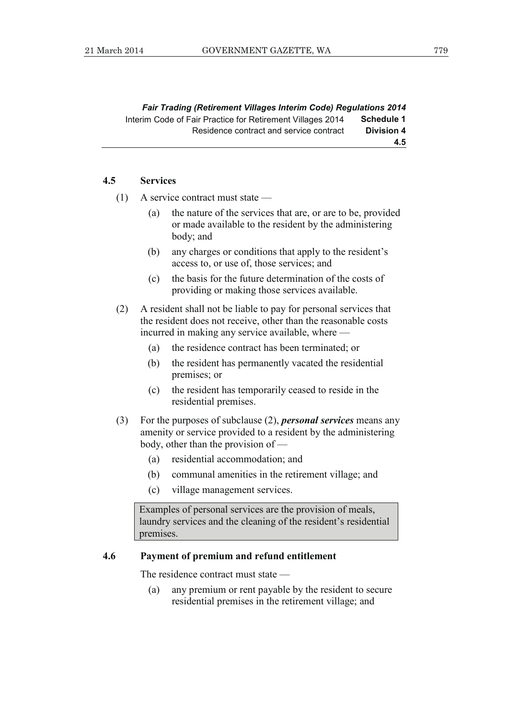*Fair Trading (Retirement Villages Interim Code) Regulations 2014*  Interim Code of Fair Practice for Retirement Villages 2014 **Schedule 1** Residence contract and service contract **Division 4 4.5** 

#### **4.5 Services**

- (1) A service contract must state
	- (a) the nature of the services that are, or are to be, provided or made available to the resident by the administering body; and
	- (b) any charges or conditions that apply to the resident's access to, or use of, those services; and
	- (c) the basis for the future determination of the costs of providing or making those services available.
- (2) A resident shall not be liable to pay for personal services that the resident does not receive, other than the reasonable costs incurred in making any service available, where —
	- (a) the residence contract has been terminated; or
	- (b) the resident has permanently vacated the residential premises; or
	- (c) the resident has temporarily ceased to reside in the residential premises.
- (3) For the purposes of subclause (2), *personal services* means any amenity or service provided to a resident by the administering body, other than the provision of —
	- (a) residential accommodation; and
	- (b) communal amenities in the retirement village; and
	- (c) village management services.

Examples of personal services are the provision of meals, laundry services and the cleaning of the resident's residential premises.

#### **4.6 Payment of premium and refund entitlement**

The residence contract must state —

 (a) any premium or rent payable by the resident to secure residential premises in the retirement village; and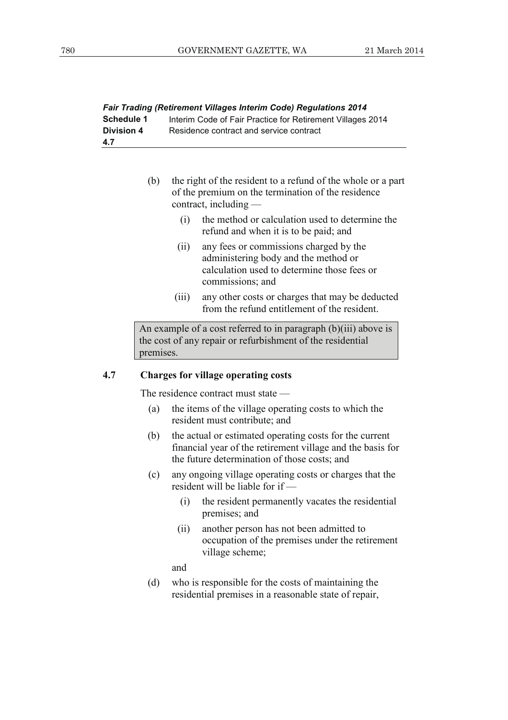| <b>Fair Trading (Retirement Villages Interim Code) Regulations 2014</b> |                                                            |  |
|-------------------------------------------------------------------------|------------------------------------------------------------|--|
| Schedule 1                                                              | Interim Code of Fair Practice for Retirement Villages 2014 |  |
| Division 4                                                              | Residence contract and service contract                    |  |
| 4.7                                                                     |                                                            |  |

- (b) the right of the resident to a refund of the whole or a part of the premium on the termination of the residence contract, including —
	- (i) the method or calculation used to determine the refund and when it is to be paid; and
	- (ii) any fees or commissions charged by the administering body and the method or calculation used to determine those fees or commissions; and
	- (iii) any other costs or charges that may be deducted from the refund entitlement of the resident.

An example of a cost referred to in paragraph  $(b)(iii)$  above is the cost of any repair or refurbishment of the residential premises.

#### **4.7 Charges for village operating costs**

The residence contract must state —

- (a) the items of the village operating costs to which the resident must contribute; and
- (b) the actual or estimated operating costs for the current financial year of the retirement village and the basis for the future determination of those costs; and
- (c) any ongoing village operating costs or charges that the resident will be liable for if —
	- (i) the resident permanently vacates the residential premises; and
	- (ii) another person has not been admitted to occupation of the premises under the retirement village scheme;

and

 (d) who is responsible for the costs of maintaining the residential premises in a reasonable state of repair,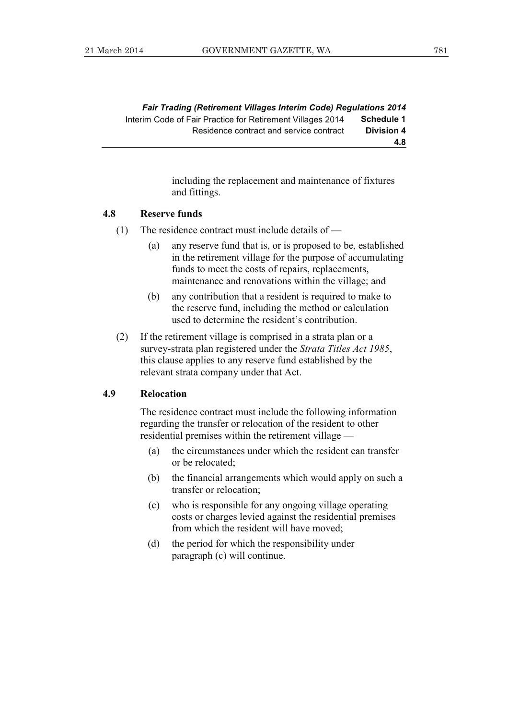*Fair Trading (Retirement Villages Interim Code) Regulations 2014*  Interim Code of Fair Practice for Retirement Villages 2014 **Schedule 1** Residence contract and service contract **Division 4 4.8** 

> including the replacement and maintenance of fixtures and fittings.

#### **4.8 Reserve funds**

- (1) The residence contract must include details of
	- (a) any reserve fund that is, or is proposed to be, established in the retirement village for the purpose of accumulating funds to meet the costs of repairs, replacements, maintenance and renovations within the village; and
	- (b) any contribution that a resident is required to make to the reserve fund, including the method or calculation used to determine the resident's contribution.
- (2) If the retirement village is comprised in a strata plan or a survey-strata plan registered under the *Strata Titles Act 1985*, this clause applies to any reserve fund established by the relevant strata company under that Act.

#### **4.9 Relocation**

 The residence contract must include the following information regarding the transfer or relocation of the resident to other residential premises within the retirement village —

- (a) the circumstances under which the resident can transfer or be relocated;
- (b) the financial arrangements which would apply on such a transfer or relocation;
- (c) who is responsible for any ongoing village operating costs or charges levied against the residential premises from which the resident will have moved;
- (d) the period for which the responsibility under paragraph (c) will continue.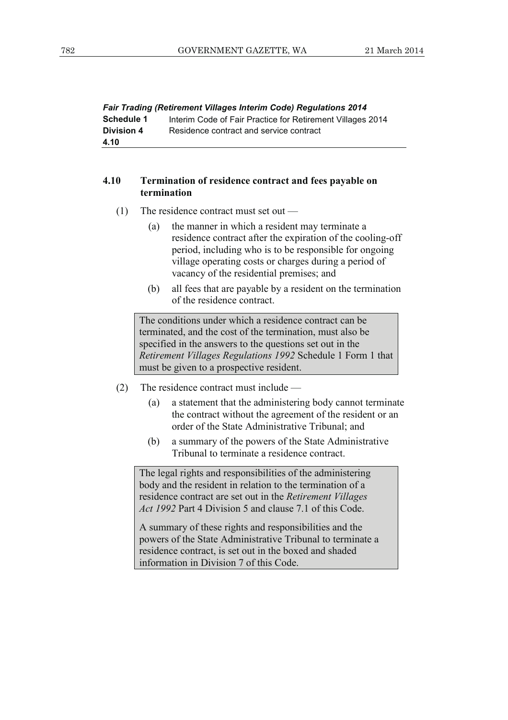*Fair Trading (Retirement Villages Interim Code) Regulations 2014*  **Schedule 1** Interim Code of Fair Practice for Retirement Villages 2014 **Division 4** Residence contract and service contract **4.10** 

#### **4.10 Termination of residence contract and fees payable on termination**

- (1) The residence contract must set out
	- (a) the manner in which a resident may terminate a residence contract after the expiration of the cooling-off period, including who is to be responsible for ongoing village operating costs or charges during a period of vacancy of the residential premises; and
	- (b) all fees that are payable by a resident on the termination of the residence contract.

The conditions under which a residence contract can be terminated, and the cost of the termination, must also be specified in the answers to the questions set out in the *Retirement Villages Regulations 1992* Schedule 1 Form 1 that must be given to a prospective resident.

- (2) The residence contract must include
	- (a) a statement that the administering body cannot terminate the contract without the agreement of the resident or an order of the State Administrative Tribunal; and
	- (b) a summary of the powers of the State Administrative Tribunal to terminate a residence contract.

The legal rights and responsibilities of the administering body and the resident in relation to the termination of a residence contract are set out in the *Retirement Villages Act 1992* Part 4 Division 5 and clause 7.1 of this Code.

A summary of these rights and responsibilities and the powers of the State Administrative Tribunal to terminate a residence contract, is set out in the boxed and shaded information in Division 7 of this Code.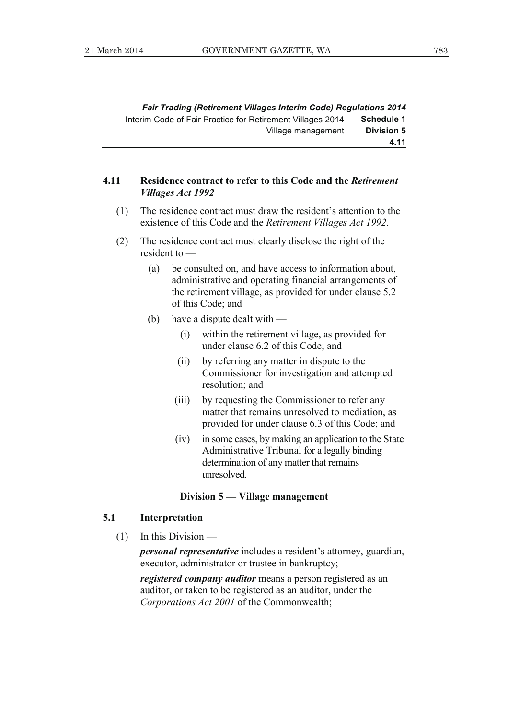*Fair Trading (Retirement Villages Interim Code) Regulations 2014*  Interim Code of Fair Practice for Retirement Villages 2014 **Schedule 1** Village management **Division 5 4.11** 

#### **4.11 Residence contract to refer to this Code and the** *Retirement Villages Act 1992*

- (1) The residence contract must draw the resident's attention to the existence of this Code and the *Retirement Villages Act 1992*.
- (2) The residence contract must clearly disclose the right of the resident to —
	- (a) be consulted on, and have access to information about, administrative and operating financial arrangements of the retirement village, as provided for under clause 5.2 of this Code; and
	- (b) have a dispute dealt with
		- (i) within the retirement village, as provided for under clause 6.2 of this Code; and
		- (ii) by referring any matter in dispute to the Commissioner for investigation and attempted resolution; and
		- (iii) by requesting the Commissioner to refer any matter that remains unresolved to mediation, as provided for under clause 6.3 of this Code; and
		- (iv) in some cases, by making an application to the State Administrative Tribunal for a legally binding determination of any matter that remains unresolved.

#### **Division 5 — Village management**

#### **5.1 Interpretation**

 $(1)$  In this Division —

*personal representative* includes a resident's attorney, guardian, executor, administrator or trustee in bankruptcy;

*registered company auditor* means a person registered as an auditor, or taken to be registered as an auditor, under the *Corporations Act 2001* of the Commonwealth;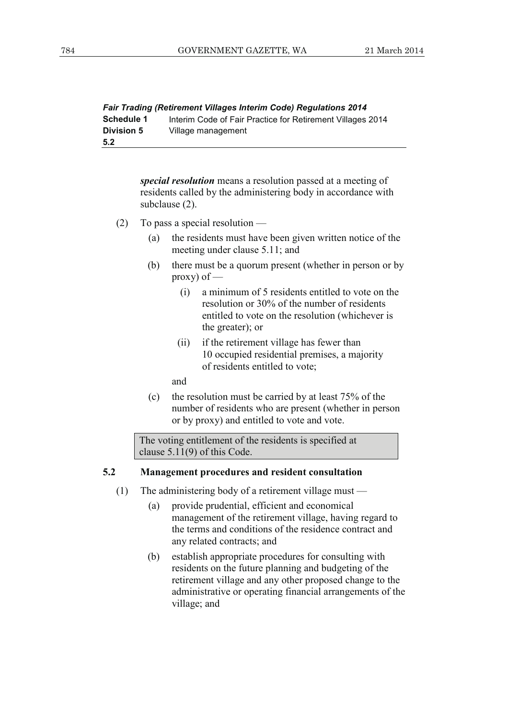| Fair Trading (Retirement Villages Interim Code) Regulations 2014 |                                                            |  |
|------------------------------------------------------------------|------------------------------------------------------------|--|
| <b>Schedule 1</b>                                                | Interim Code of Fair Practice for Retirement Villages 2014 |  |
| <b>Division 5</b>                                                | Village management                                         |  |
| 5.2                                                              |                                                            |  |

*special resolution* means a resolution passed at a meeting of residents called by the administering body in accordance with subclause (2).

- (2) To pass a special resolution
	- (a) the residents must have been given written notice of the meeting under clause 5.11; and
	- (b) there must be a quorum present (whether in person or by proxy) of  $-$ 
		- (i) a minimum of 5 residents entitled to vote on the resolution or 30% of the number of residents entitled to vote on the resolution (whichever is the greater); or
		- (ii) if the retirement village has fewer than 10 occupied residential premises, a majority of residents entitled to vote;

and

 (c) the resolution must be carried by at least 75% of the number of residents who are present (whether in person or by proxy) and entitled to vote and vote.

The voting entitlement of the residents is specified at clause 5.11(9) of this Code.

#### **5.2 Management procedures and resident consultation**

- (1) The administering body of a retirement village must
	- (a) provide prudential, efficient and economical management of the retirement village, having regard to the terms and conditions of the residence contract and any related contracts; and
	- (b) establish appropriate procedures for consulting with residents on the future planning and budgeting of the retirement village and any other proposed change to the administrative or operating financial arrangements of the village; and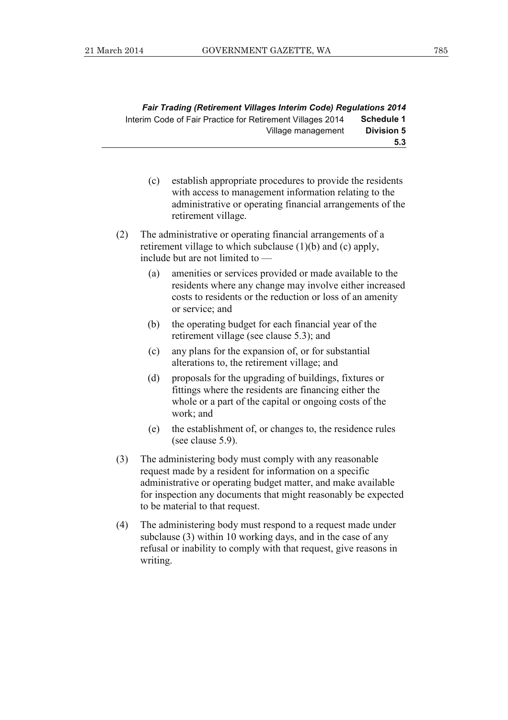*Fair Trading (Retirement Villages Interim Code) Regulations 2014*  Interim Code of Fair Practice for Retirement Villages 2014 **Schedule 1** Village management **Division 5 5.3** 

- (c) establish appropriate procedures to provide the residents with access to management information relating to the administrative or operating financial arrangements of the retirement village.
- (2) The administrative or operating financial arrangements of a retirement village to which subclause (1)(b) and (c) apply, include but are not limited to —
	- (a) amenities or services provided or made available to the residents where any change may involve either increased costs to residents or the reduction or loss of an amenity or service; and
	- (b) the operating budget for each financial year of the retirement village (see clause 5.3); and
	- (c) any plans for the expansion of, or for substantial alterations to, the retirement village; and
	- (d) proposals for the upgrading of buildings, fixtures or fittings where the residents are financing either the whole or a part of the capital or ongoing costs of the work; and
	- (e) the establishment of, or changes to, the residence rules (see clause 5.9).
- (3) The administering body must comply with any reasonable request made by a resident for information on a specific administrative or operating budget matter, and make available for inspection any documents that might reasonably be expected to be material to that request.
- (4) The administering body must respond to a request made under subclause (3) within 10 working days, and in the case of any refusal or inability to comply with that request, give reasons in writing.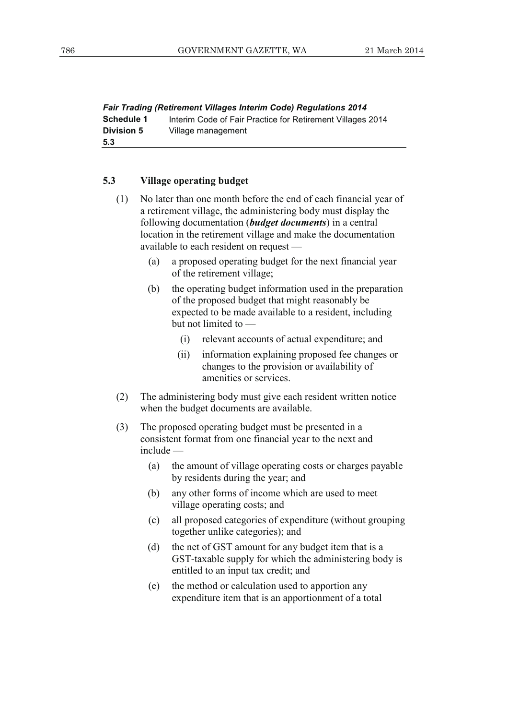*Fair Trading (Retirement Villages Interim Code) Regulations 2014*  **Schedule 1** Interim Code of Fair Practice for Retirement Villages 2014 **Division 5** Village management **5.3** 

#### **5.3 Village operating budget**

- (1) No later than one month before the end of each financial year of a retirement village, the administering body must display the following documentation (*budget documents*) in a central location in the retirement village and make the documentation available to each resident on request —
	- (a) a proposed operating budget for the next financial year of the retirement village;
	- (b) the operating budget information used in the preparation of the proposed budget that might reasonably be expected to be made available to a resident, including but not limited to —
		- (i) relevant accounts of actual expenditure; and
		- (ii) information explaining proposed fee changes or changes to the provision or availability of amenities or services.
- (2) The administering body must give each resident written notice when the budget documents are available.
- (3) The proposed operating budget must be presented in a consistent format from one financial year to the next and include —
	- (a) the amount of village operating costs or charges payable by residents during the year; and
	- (b) any other forms of income which are used to meet village operating costs; and
	- (c) all proposed categories of expenditure (without grouping together unlike categories); and
	- (d) the net of GST amount for any budget item that is a GST-taxable supply for which the administering body is entitled to an input tax credit; and
	- (e) the method or calculation used to apportion any expenditure item that is an apportionment of a total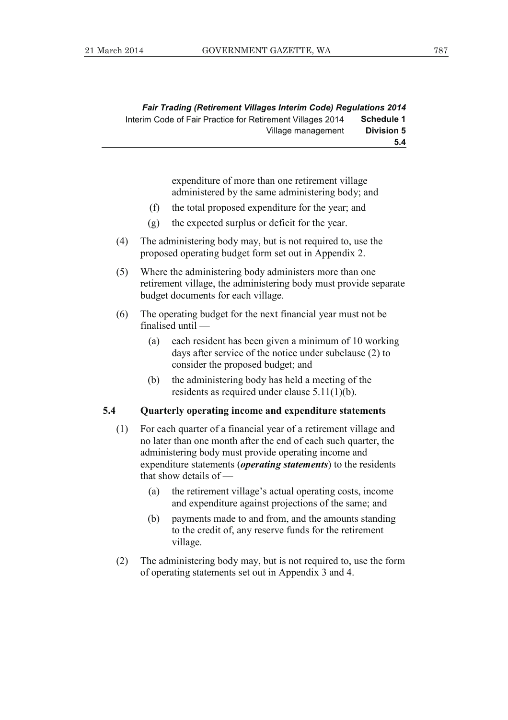*Fair Trading (Retirement Villages Interim Code) Regulations 2014*  Interim Code of Fair Practice for Retirement Villages 2014 **Schedule 1** Village management **Division 5 5.4** 

> expenditure of more than one retirement village administered by the same administering body; and

- (f) the total proposed expenditure for the year; and
- (g) the expected surplus or deficit for the year.
- (4) The administering body may, but is not required to, use the proposed operating budget form set out in Appendix 2.
- (5) Where the administering body administers more than one retirement village, the administering body must provide separate budget documents for each village.
- (6) The operating budget for the next financial year must not be finalised until —
	- (a) each resident has been given a minimum of 10 working days after service of the notice under subclause (2) to consider the proposed budget; and
	- (b) the administering body has held a meeting of the residents as required under clause 5.11(1)(b).

#### **5.4 Quarterly operating income and expenditure statements**

- (1) For each quarter of a financial year of a retirement village and no later than one month after the end of each such quarter, the administering body must provide operating income and expenditure statements (*operating statements*) to the residents that show details of —
	- (a) the retirement village's actual operating costs, income and expenditure against projections of the same; and
	- (b) payments made to and from, and the amounts standing to the credit of, any reserve funds for the retirement village.
- (2) The administering body may, but is not required to, use the form of operating statements set out in Appendix 3 and 4.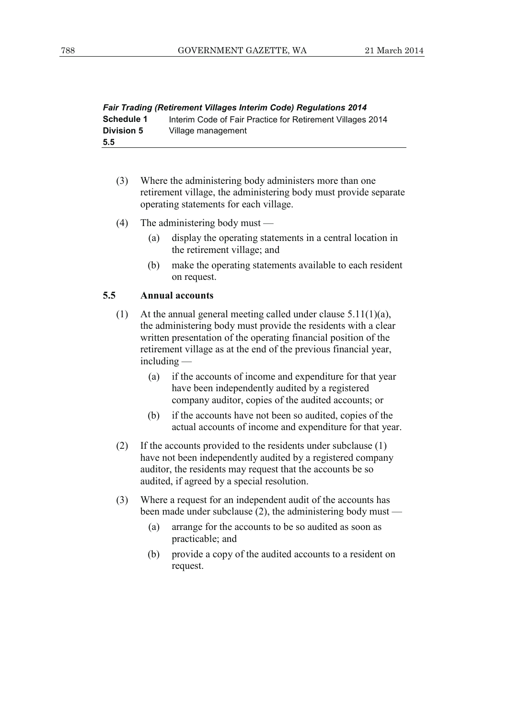| <b>Fair Trading (Retirement Villages Interim Code) Regulations 2014</b> |                                                            |  |
|-------------------------------------------------------------------------|------------------------------------------------------------|--|
| Schedule 1                                                              | Interim Code of Fair Practice for Retirement Villages 2014 |  |
| <b>Division 5</b>                                                       | Village management                                         |  |
| 5.5                                                                     |                                                            |  |

- (3) Where the administering body administers more than one retirement village, the administering body must provide separate operating statements for each village.
- (4) The administering body must
	- (a) display the operating statements in a central location in the retirement village; and
	- (b) make the operating statements available to each resident on request.

#### **5.5 Annual accounts**

- (1) At the annual general meeting called under clause  $5.11(1)(a)$ , the administering body must provide the residents with a clear written presentation of the operating financial position of the retirement village as at the end of the previous financial year, including —
	- (a) if the accounts of income and expenditure for that year have been independently audited by a registered company auditor, copies of the audited accounts; or
	- (b) if the accounts have not been so audited, copies of the actual accounts of income and expenditure for that year.
- (2) If the accounts provided to the residents under subclause (1) have not been independently audited by a registered company auditor, the residents may request that the accounts be so audited, if agreed by a special resolution.
- (3) Where a request for an independent audit of the accounts has been made under subclause (2), the administering body must —
	- (a) arrange for the accounts to be so audited as soon as practicable; and
	- (b) provide a copy of the audited accounts to a resident on request.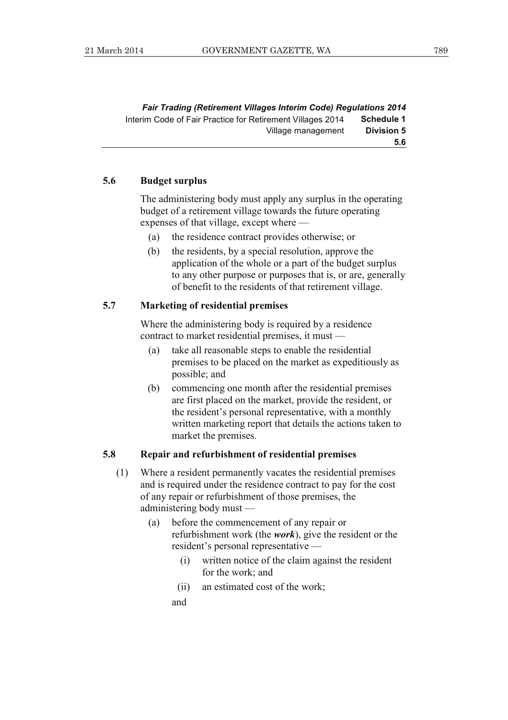*Fair Trading (Retirement Villages Interim Code) Regulations 2014*  Interim Code of Fair Practice for Retirement Villages 2014 **Schedule 1** Village management **Division 5 5.6** 

#### **5.6 Budget surplus**

 The administering body must apply any surplus in the operating budget of a retirement village towards the future operating expenses of that village, except where —

- (a) the residence contract provides otherwise; or
- (b) the residents, by a special resolution, approve the application of the whole or a part of the budget surplus to any other purpose or purposes that is, or are, generally of benefit to the residents of that retirement village.

#### **5.7 Marketing of residential premises**

 Where the administering body is required by a residence contract to market residential premises, it must —

- (a) take all reasonable steps to enable the residential premises to be placed on the market as expeditiously as possible; and
- (b) commencing one month after the residential premises are first placed on the market, provide the resident, or the resident's personal representative, with a monthly written marketing report that details the actions taken to market the premises.

#### **5.8 Repair and refurbishment of residential premises**

- (1) Where a resident permanently vacates the residential premises and is required under the residence contract to pay for the cost of any repair or refurbishment of those premises, the administering body must —
	- (a) before the commencement of any repair or refurbishment work (the *work*), give the resident or the resident's personal representative —
		- (i) written notice of the claim against the resident for the work; and
		- (ii) an estimated cost of the work;

and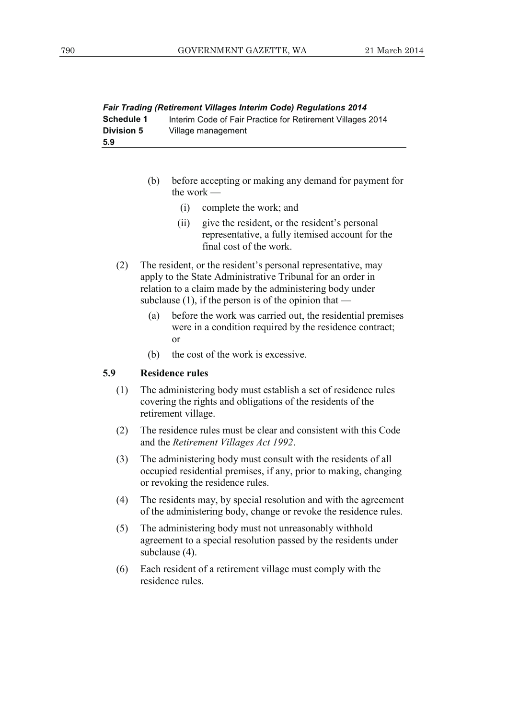| <b>Fair Trading (Retirement Villages Interim Code) Regulations 2014</b> |                                                            |  |  |  |
|-------------------------------------------------------------------------|------------------------------------------------------------|--|--|--|
| Schedule 1                                                              | Interim Code of Fair Practice for Retirement Villages 2014 |  |  |  |
| <b>Division 5</b>                                                       | Village management                                         |  |  |  |
| 5.9                                                                     |                                                            |  |  |  |

- (b) before accepting or making any demand for payment for the work —
	- (i) complete the work; and
	- (ii) give the resident, or the resident's personal representative, a fully itemised account for the final cost of the work.
- (2) The resident, or the resident's personal representative, may apply to the State Administrative Tribunal for an order in relation to a claim made by the administering body under subclause  $(1)$ , if the person is of the opinion that —
	- (a) before the work was carried out, the residential premises were in a condition required by the residence contract; or
	- (b) the cost of the work is excessive.

#### **5.9 Residence rules**

- (1) The administering body must establish a set of residence rules covering the rights and obligations of the residents of the retirement village.
- (2) The residence rules must be clear and consistent with this Code and the *Retirement Villages Act 1992*.
- (3) The administering body must consult with the residents of all occupied residential premises, if any, prior to making, changing or revoking the residence rules.
- (4) The residents may, by special resolution and with the agreement of the administering body, change or revoke the residence rules.
- (5) The administering body must not unreasonably withhold agreement to a special resolution passed by the residents under subclause (4).
- (6) Each resident of a retirement village must comply with the residence rules.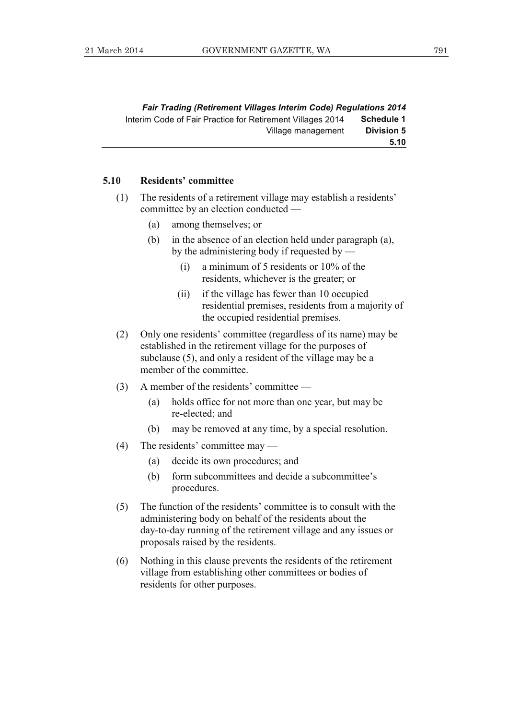*Fair Trading (Retirement Villages Interim Code) Regulations 2014*  Interim Code of Fair Practice for Retirement Villages 2014 **Schedule 1** Village management **Division 5 5.10** 

#### **5.10 Residents' committee**

- (1) The residents of a retirement village may establish a residents' committee by an election conducted —
	- (a) among themselves; or
	- (b) in the absence of an election held under paragraph (a), by the administering body if requested by —
		- (i) a minimum of 5 residents or 10% of the residents, whichever is the greater; or
		- (ii) if the village has fewer than 10 occupied residential premises, residents from a majority of the occupied residential premises.
- (2) Only one residents' committee (regardless of its name) may be established in the retirement village for the purposes of subclause (5), and only a resident of the village may be a member of the committee.
- (3) A member of the residents' committee
	- (a) holds office for not more than one year, but may be re-elected; and
	- (b) may be removed at any time, by a special resolution.
- (4) The residents' committee may
	- (a) decide its own procedures; and
	- (b) form subcommittees and decide a subcommittee's procedures.
- (5) The function of the residents' committee is to consult with the administering body on behalf of the residents about the day-to-day running of the retirement village and any issues or proposals raised by the residents.
- (6) Nothing in this clause prevents the residents of the retirement village from establishing other committees or bodies of residents for other purposes.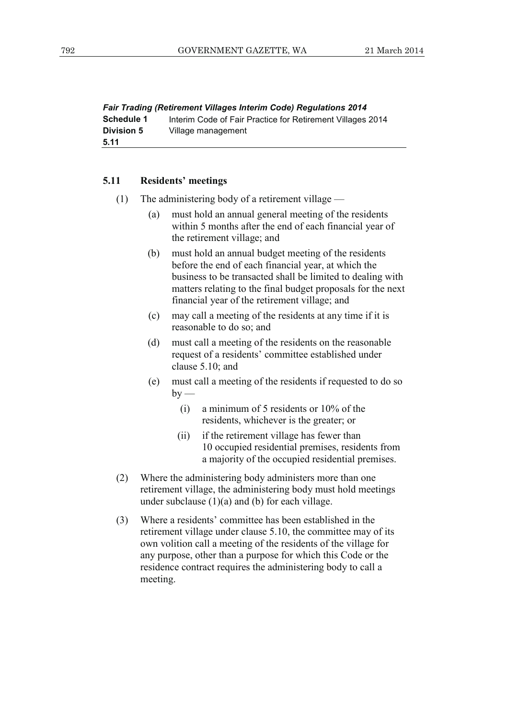*Fair Trading (Retirement Villages Interim Code) Regulations 2014*  **Schedule 1** Interim Code of Fair Practice for Retirement Villages 2014 **Division 5** Village management **5.11** 

#### **5.11 Residents' meetings**

- (1) The administering body of a retirement village
	- (a) must hold an annual general meeting of the residents within 5 months after the end of each financial year of the retirement village; and
	- (b) must hold an annual budget meeting of the residents before the end of each financial year, at which the business to be transacted shall be limited to dealing with matters relating to the final budget proposals for the next financial year of the retirement village; and
	- (c) may call a meeting of the residents at any time if it is reasonable to do so; and
	- (d) must call a meeting of the residents on the reasonable request of a residents' committee established under clause 5.10; and
	- (e) must call a meeting of the residents if requested to do so  $by -$ 
		- (i) a minimum of 5 residents or 10% of the residents, whichever is the greater; or
		- (ii) if the retirement village has fewer than 10 occupied residential premises, residents from a majority of the occupied residential premises.
- (2) Where the administering body administers more than one retirement village, the administering body must hold meetings under subclause  $(1)(a)$  and  $(b)$  for each village.
- (3) Where a residents' committee has been established in the retirement village under clause 5.10, the committee may of its own volition call a meeting of the residents of the village for any purpose, other than a purpose for which this Code or the residence contract requires the administering body to call a meeting.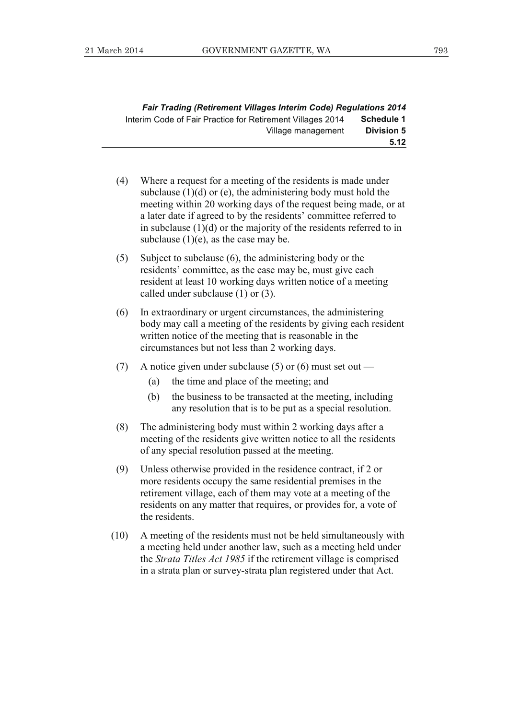|                   | <b>Fair Trading (Retirement Villages Interim Code) Regulations 2014</b> |
|-------------------|-------------------------------------------------------------------------|
| Schedule 1        | Interim Code of Fair Practice for Retirement Villages 2014              |
| <b>Division 5</b> | Village management                                                      |
| 5.12              |                                                                         |

- (4) Where a request for a meeting of the residents is made under subclause  $(1)(d)$  or (e), the administering body must hold the meeting within 20 working days of the request being made, or at a later date if agreed to by the residents' committee referred to in subclause (1)(d) or the majority of the residents referred to in subclause  $(1)(e)$ , as the case may be.
- (5) Subject to subclause (6), the administering body or the residents' committee, as the case may be, must give each resident at least 10 working days written notice of a meeting called under subclause (1) or (3).
- (6) In extraordinary or urgent circumstances, the administering body may call a meeting of the residents by giving each resident written notice of the meeting that is reasonable in the circumstances but not less than 2 working days.
- (7) A notice given under subclause (5) or (6) must set out
	- (a) the time and place of the meeting; and
	- (b) the business to be transacted at the meeting, including any resolution that is to be put as a special resolution.
- (8) The administering body must within 2 working days after a meeting of the residents give written notice to all the residents of any special resolution passed at the meeting.
- (9) Unless otherwise provided in the residence contract, if 2 or more residents occupy the same residential premises in the retirement village, each of them may vote at a meeting of the residents on any matter that requires, or provides for, a vote of the residents.
- (10) A meeting of the residents must not be held simultaneously with a meeting held under another law, such as a meeting held under the *Strata Titles Act 1985* if the retirement village is comprised in a strata plan or survey-strata plan registered under that Act.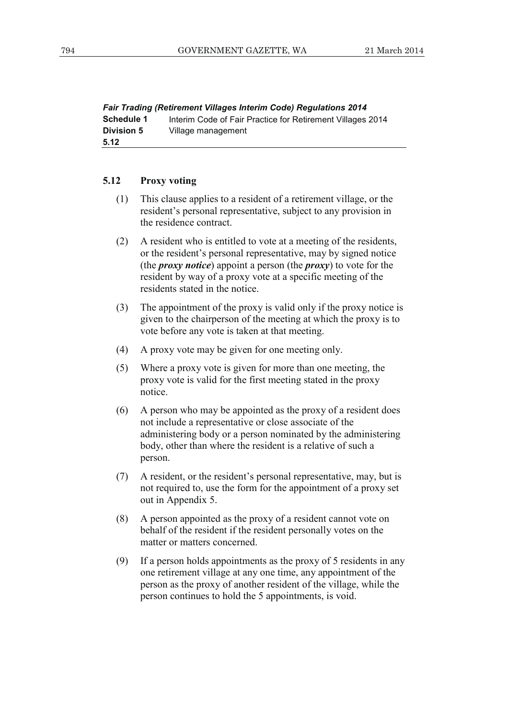*Fair Trading (Retirement Villages Interim Code) Regulations 2014*  **Schedule 1** Interim Code of Fair Practice for Retirement Villages 2014 **Division 5** Village management **5.12** 

#### **5.12 Proxy voting**

- (1) This clause applies to a resident of a retirement village, or the resident's personal representative, subject to any provision in the residence contract.
- (2) A resident who is entitled to vote at a meeting of the residents, or the resident's personal representative, may by signed notice (the *proxy notice*) appoint a person (the *proxy*) to vote for the resident by way of a proxy vote at a specific meeting of the residents stated in the notice.
- (3) The appointment of the proxy is valid only if the proxy notice is given to the chairperson of the meeting at which the proxy is to vote before any vote is taken at that meeting.
- (4) A proxy vote may be given for one meeting only.
- (5) Where a proxy vote is given for more than one meeting, the proxy vote is valid for the first meeting stated in the proxy notice.
- (6) A person who may be appointed as the proxy of a resident does not include a representative or close associate of the administering body or a person nominated by the administering body, other than where the resident is a relative of such a person.
- (7) A resident, or the resident's personal representative, may, but is not required to, use the form for the appointment of a proxy set out in Appendix 5.
- (8) A person appointed as the proxy of a resident cannot vote on behalf of the resident if the resident personally votes on the matter or matters concerned.
- (9) If a person holds appointments as the proxy of 5 residents in any one retirement village at any one time, any appointment of the person as the proxy of another resident of the village, while the person continues to hold the 5 appointments, is void.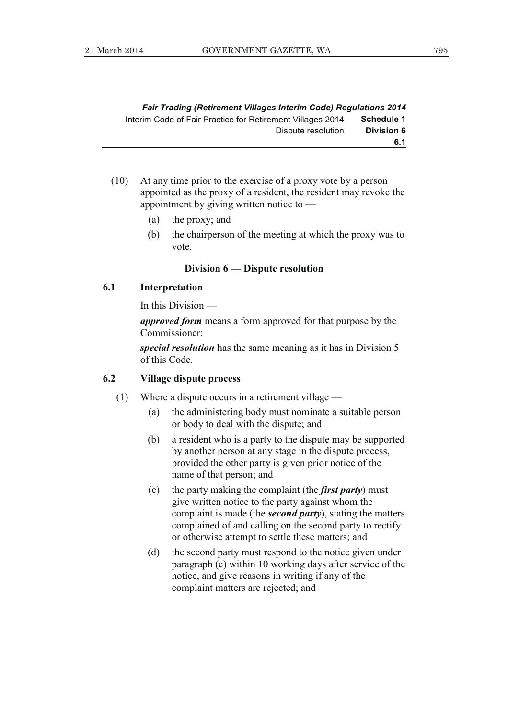|                   | <b>Fair Trading (Retirement Villages Interim Code) Regulations 2014</b> |
|-------------------|-------------------------------------------------------------------------|
| Schedule 1        | Interim Code of Fair Practice for Retirement Villages 2014              |
| <b>Division 6</b> | Dispute resolution                                                      |
| 6.1               |                                                                         |

- (10) At any time prior to the exercise of a proxy vote by a person appointed as the proxy of a resident, the resident may revoke the appointment by giving written notice to —
	- (a) the proxy; and
	- (b) the chairperson of the meeting at which the proxy was to vote.

#### **Division 6 — Dispute resolution**

#### **6.1 Interpretation**

In this Division —

*approved form* means a form approved for that purpose by the Commissioner;

*special resolution* has the same meaning as it has in Division 5 of this Code.

#### **6.2 Village dispute process**

- (1) Where a dispute occurs in a retirement village
	- (a) the administering body must nominate a suitable person or body to deal with the dispute; and
	- (b) a resident who is a party to the dispute may be supported by another person at any stage in the dispute process, provided the other party is given prior notice of the name of that person; and
	- (c) the party making the complaint (the *first party*) must give written notice to the party against whom the complaint is made (the *second party*), stating the matters complained of and calling on the second party to rectify or otherwise attempt to settle these matters; and
	- (d) the second party must respond to the notice given under paragraph (c) within 10 working days after service of the notice, and give reasons in writing if any of the complaint matters are rejected; and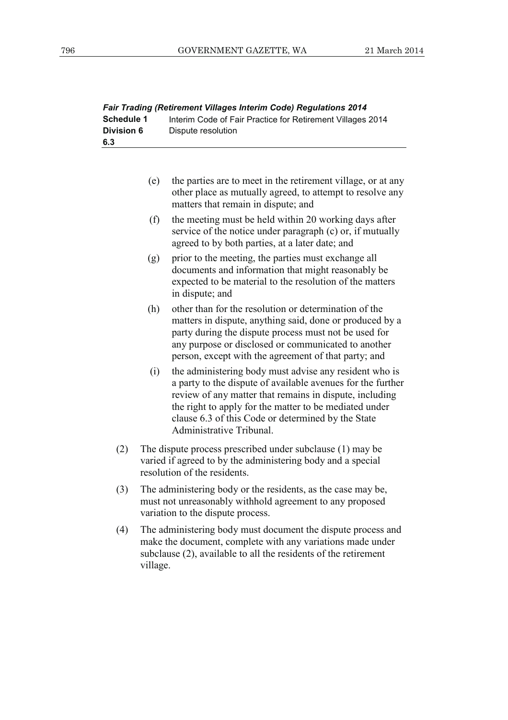| <b>Fair Trading (Retirement Villages Interim Code) Regulations 2014</b> |                                                            |  |  |  |
|-------------------------------------------------------------------------|------------------------------------------------------------|--|--|--|
| Schedule 1                                                              | Interim Code of Fair Practice for Retirement Villages 2014 |  |  |  |
| <b>Division 6</b>                                                       | Dispute resolution                                         |  |  |  |
| 6.3                                                                     |                                                            |  |  |  |

- (e) the parties are to meet in the retirement village, or at any other place as mutually agreed, to attempt to resolve any matters that remain in dispute; and
- (f) the meeting must be held within 20 working days after service of the notice under paragraph (c) or, if mutually agreed to by both parties, at a later date; and
- (g) prior to the meeting, the parties must exchange all documents and information that might reasonably be expected to be material to the resolution of the matters in dispute; and
- (h) other than for the resolution or determination of the matters in dispute, anything said, done or produced by a party during the dispute process must not be used for any purpose or disclosed or communicated to another person, except with the agreement of that party; and
- (i) the administering body must advise any resident who is a party to the dispute of available avenues for the further review of any matter that remains in dispute, including the right to apply for the matter to be mediated under clause 6.3 of this Code or determined by the State Administrative Tribunal.
- (2) The dispute process prescribed under subclause (1) may be varied if agreed to by the administering body and a special resolution of the residents.
- (3) The administering body or the residents, as the case may be, must not unreasonably withhold agreement to any proposed variation to the dispute process.
- (4) The administering body must document the dispute process and make the document, complete with any variations made under subclause (2), available to all the residents of the retirement village.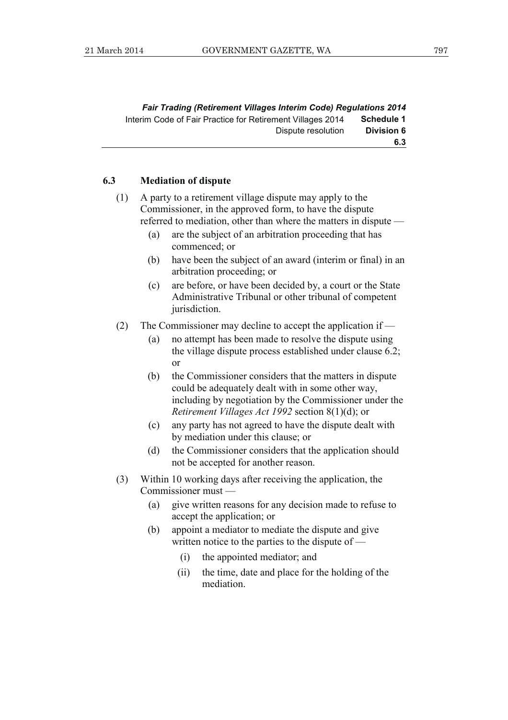*Fair Trading (Retirement Villages Interim Code) Regulations 2014*  Interim Code of Fair Practice for Retirement Villages 2014 **Schedule 1** Dispute resolution **Division 6 6.3** 

#### **6.3 Mediation of dispute**

- (1) A party to a retirement village dispute may apply to the Commissioner, in the approved form, to have the dispute referred to mediation, other than where the matters in dispute —
	- (a) are the subject of an arbitration proceeding that has commenced; or
	- (b) have been the subject of an award (interim or final) in an arbitration proceeding; or
	- (c) are before, or have been decided by, a court or the State Administrative Tribunal or other tribunal of competent jurisdiction.
- (2) The Commissioner may decline to accept the application if
	- (a) no attempt has been made to resolve the dispute using the village dispute process established under clause 6.2; or
	- (b) the Commissioner considers that the matters in dispute could be adequately dealt with in some other way, including by negotiation by the Commissioner under the *Retirement Villages Act 1992* section 8(1)(d); or
	- (c) any party has not agreed to have the dispute dealt with by mediation under this clause; or
	- (d) the Commissioner considers that the application should not be accepted for another reason.
- (3) Within 10 working days after receiving the application, the Commissioner must —
	- (a) give written reasons for any decision made to refuse to accept the application; or
	- (b) appoint a mediator to mediate the dispute and give written notice to the parties to the dispute of —
		- (i) the appointed mediator; and
		- (ii) the time, date and place for the holding of the mediation.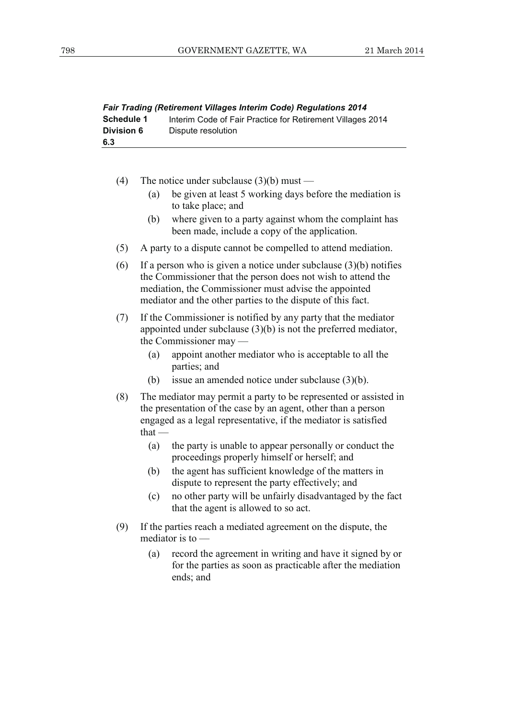| <b>Fair Trading (Retirement Villages Interim Code) Regulations 2014</b> |                                                            |  |  |  |
|-------------------------------------------------------------------------|------------------------------------------------------------|--|--|--|
| Schedule 1                                                              | Interim Code of Fair Practice for Retirement Villages 2014 |  |  |  |
| <b>Division 6</b>                                                       | Dispute resolution                                         |  |  |  |
| 6.3                                                                     |                                                            |  |  |  |

| (4) |  |  |  | The notice under subclause $(3)(b)$ must — |  |  |  |
|-----|--|--|--|--------------------------------------------|--|--|--|
|-----|--|--|--|--------------------------------------------|--|--|--|

- (a) be given at least 5 working days before the mediation is to take place; and
- (b) where given to a party against whom the complaint has been made, include a copy of the application.
- (5) A party to a dispute cannot be compelled to attend mediation.
- (6) If a person who is given a notice under subclause  $(3)(b)$  notifies the Commissioner that the person does not wish to attend the mediation, the Commissioner must advise the appointed mediator and the other parties to the dispute of this fact.
- (7) If the Commissioner is notified by any party that the mediator appointed under subclause (3)(b) is not the preferred mediator, the Commissioner may —
	- (a) appoint another mediator who is acceptable to all the parties; and
	- (b) issue an amended notice under subclause (3)(b).
- (8) The mediator may permit a party to be represented or assisted in the presentation of the case by an agent, other than a person engaged as a legal representative, if the mediator is satisfied that —
	- (a) the party is unable to appear personally or conduct the proceedings properly himself or herself; and
	- (b) the agent has sufficient knowledge of the matters in dispute to represent the party effectively; and
	- (c) no other party will be unfairly disadvantaged by the fact that the agent is allowed to so act.
- (9) If the parties reach a mediated agreement on the dispute, the mediator is to —
	- (a) record the agreement in writing and have it signed by or for the parties as soon as practicable after the mediation ends; and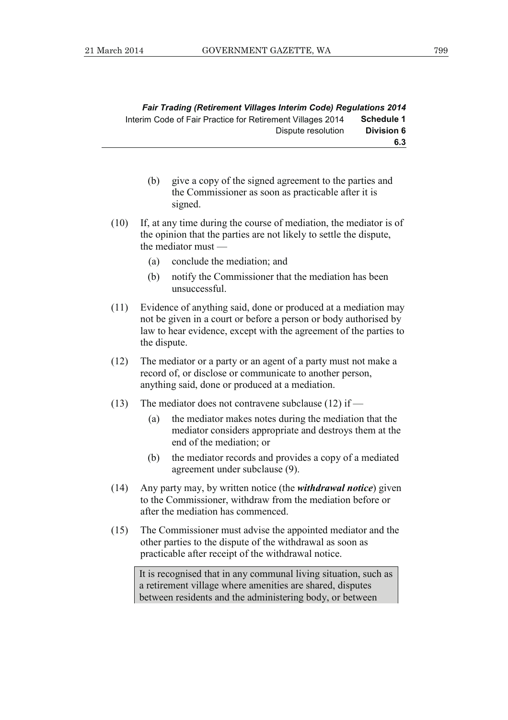|                   | <b>Fair Trading (Retirement Villages Interim Code) Regulations 2014</b> |
|-------------------|-------------------------------------------------------------------------|
| Schedule 1        | Interim Code of Fair Practice for Retirement Villages 2014              |
| <b>Division 6</b> | Dispute resolution                                                      |
| 6.3               |                                                                         |

- (b) give a copy of the signed agreement to the parties and the Commissioner as soon as practicable after it is signed.
- (10) If, at any time during the course of mediation, the mediator is of the opinion that the parties are not likely to settle the dispute, the mediator must —
	- (a) conclude the mediation; and
	- (b) notify the Commissioner that the mediation has been unsuccessful.
- (11) Evidence of anything said, done or produced at a mediation may not be given in a court or before a person or body authorised by law to hear evidence, except with the agreement of the parties to the dispute.
- (12) The mediator or a party or an agent of a party must not make a record of, or disclose or communicate to another person, anything said, done or produced at a mediation.
- (13) The mediator does not contravene subclause (12) if
	- (a) the mediator makes notes during the mediation that the mediator considers appropriate and destroys them at the end of the mediation; or
	- (b) the mediator records and provides a copy of a mediated agreement under subclause (9).
- (14) Any party may, by written notice (the *withdrawal notice*) given to the Commissioner, withdraw from the mediation before or after the mediation has commenced.
- (15) The Commissioner must advise the appointed mediator and the other parties to the dispute of the withdrawal as soon as practicable after receipt of the withdrawal notice.

It is recognised that in any communal living situation, such as a retirement village where amenities are shared, disputes between residents and the administering body, or between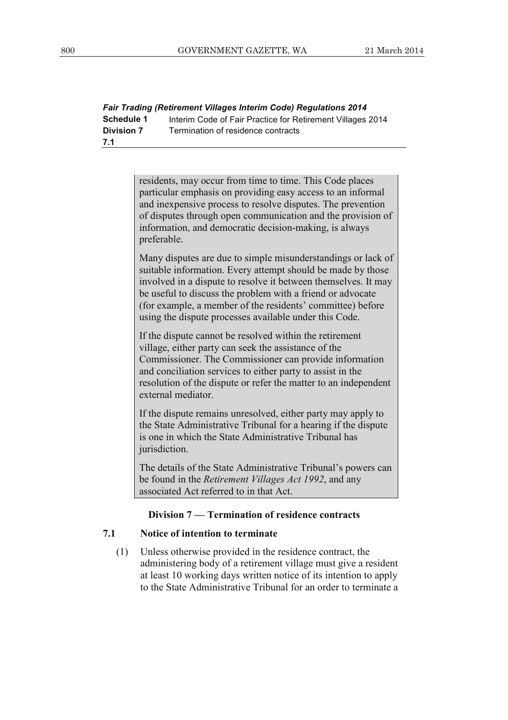*Fair Trading (Retirement Villages Interim Code) Regulations 2014*  **Schedule 1** Interim Code of Fair Practice for Retirement Villages 2014 **Division 7** Termination of residence contracts **7.1** 

> residents, may occur from time to time. This Code places particular emphasis on providing easy access to an informal and inexpensive process to resolve disputes. The prevention of disputes through open communication and the provision of information, and democratic decision-making, is always preferable.

> Many disputes are due to simple misunderstandings or lack of suitable information. Every attempt should be made by those involved in a dispute to resolve it between themselves. It may be useful to discuss the problem with a friend or advocate (for example, a member of the residents' committee) before using the dispute processes available under this Code.

> If the dispute cannot be resolved within the retirement village, either party can seek the assistance of the Commissioner. The Commissioner can provide information and conciliation services to either party to assist in the resolution of the dispute or refer the matter to an independent external mediator.

If the dispute remains unresolved, either party may apply to the State Administrative Tribunal for a hearing if the dispute is one in which the State Administrative Tribunal has jurisdiction.

The details of the State Administrative Tribunal's powers can be found in the *Retirement Villages Act 1992*, and any associated Act referred to in that Act.

#### **Division 7 — Termination of residence contracts**

#### **7.1 Notice of intention to terminate**

 (1) Unless otherwise provided in the residence contract, the administering body of a retirement village must give a resident at least 10 working days written notice of its intention to apply to the State Administrative Tribunal for an order to terminate a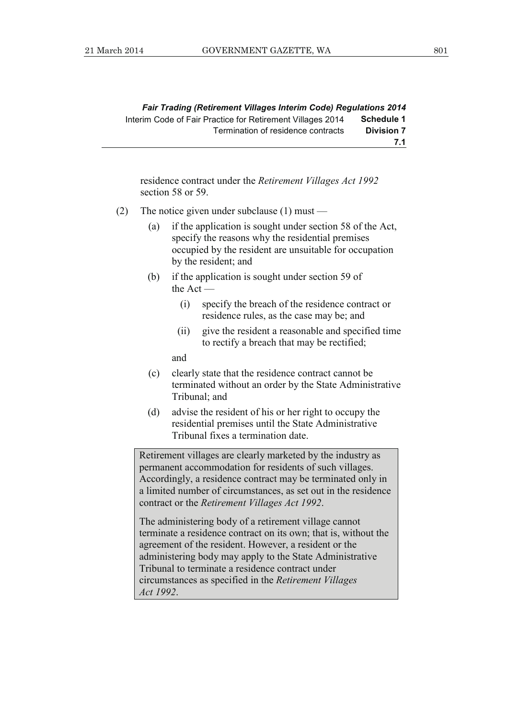*Fair Trading (Retirement Villages Interim Code) Regulations 2014*  Interim Code of Fair Practice for Retirement Villages 2014 **Schedule 1** Termination of residence contracts **Division 7 7.1** 

residence contract under the *Retirement Villages Act 1992* section 58 or 59.

- (2) The notice given under subclause (1) must
	- (a) if the application is sought under section 58 of the Act, specify the reasons why the residential premises occupied by the resident are unsuitable for occupation by the resident; and
	- (b) if the application is sought under section 59 of the Act —
		- (i) specify the breach of the residence contract or residence rules, as the case may be; and
		- (ii) give the resident a reasonable and specified time to rectify a breach that may be rectified;

and

- (c) clearly state that the residence contract cannot be terminated without an order by the State Administrative Tribunal; and
- (d) advise the resident of his or her right to occupy the residential premises until the State Administrative Tribunal fixes a termination date.

Retirement villages are clearly marketed by the industry as permanent accommodation for residents of such villages. Accordingly, a residence contract may be terminated only in a limited number of circumstances, as set out in the residence contract or the *Retirement Villages Act 1992*.

The administering body of a retirement village cannot terminate a residence contract on its own; that is, without the agreement of the resident. However, a resident or the administering body may apply to the State Administrative Tribunal to terminate a residence contract under circumstances as specified in the *Retirement Villages Act 1992*.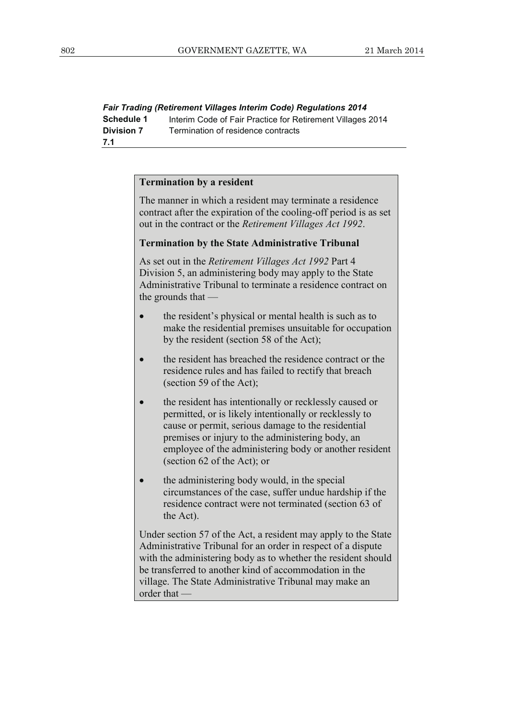*Fair Trading (Retirement Villages Interim Code) Regulations 2014*  **Schedule 1** Interim Code of Fair Practice for Retirement Villages 2014 **Division 7** Termination of residence contracts **7.1** 

#### **Termination by a resident**

The manner in which a resident may terminate a residence contract after the expiration of the cooling-off period is as set out in the contract or the *Retirement Villages Act 1992*.

#### **Termination by the State Administrative Tribunal**

As set out in the *Retirement Villages Act 1992* Part 4 Division 5, an administering body may apply to the State Administrative Tribunal to terminate a residence contract on the grounds that —

- the resident's physical or mental health is such as to make the residential premises unsuitable for occupation by the resident (section 58 of the Act);
- the resident has breached the residence contract or the residence rules and has failed to rectify that breach (section 59 of the Act);
- the resident has intentionally or recklessly caused or permitted, or is likely intentionally or recklessly to cause or permit, serious damage to the residential premises or injury to the administering body, an employee of the administering body or another resident (section 62 of the Act); or
- the administering body would, in the special circumstances of the case, suffer undue hardship if the residence contract were not terminated (section 63 of the Act).

Under section 57 of the Act, a resident may apply to the State Administrative Tribunal for an order in respect of a dispute with the administering body as to whether the resident should be transferred to another kind of accommodation in the village. The State Administrative Tribunal may make an order that —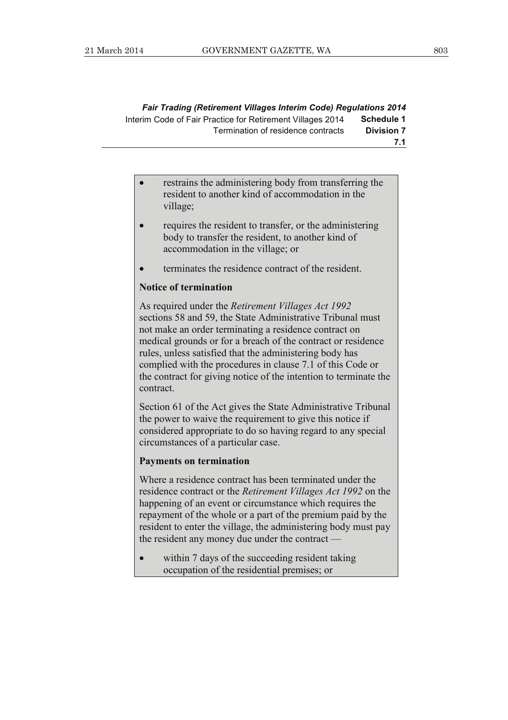*Fair Trading (Retirement Villages Interim Code) Regulations 2014*  Interim Code of Fair Practice for Retirement Villages 2014 **Schedule 1** Termination of residence contracts **Division 7 7.1** 

- restrains the administering body from transferring the resident to another kind of accommodation in the village;
- requires the resident to transfer, or the administering body to transfer the resident, to another kind of accommodation in the village; or
- terminates the residence contract of the resident.

#### **Notice of termination**

As required under the *Retirement Villages Act 1992* sections 58 and 59, the State Administrative Tribunal must not make an order terminating a residence contract on medical grounds or for a breach of the contract or residence rules, unless satisfied that the administering body has complied with the procedures in clause 7.1 of this Code or the contract for giving notice of the intention to terminate the contract.

Section 61 of the Act gives the State Administrative Tribunal the power to waive the requirement to give this notice if considered appropriate to do so having regard to any special circumstances of a particular case.

#### **Payments on termination**

Where a residence contract has been terminated under the residence contract or the *Retirement Villages Act 1992* on the happening of an event or circumstance which requires the repayment of the whole or a part of the premium paid by the resident to enter the village, the administering body must pay the resident any money due under the contract —

 within 7 days of the succeeding resident taking occupation of the residential premises; or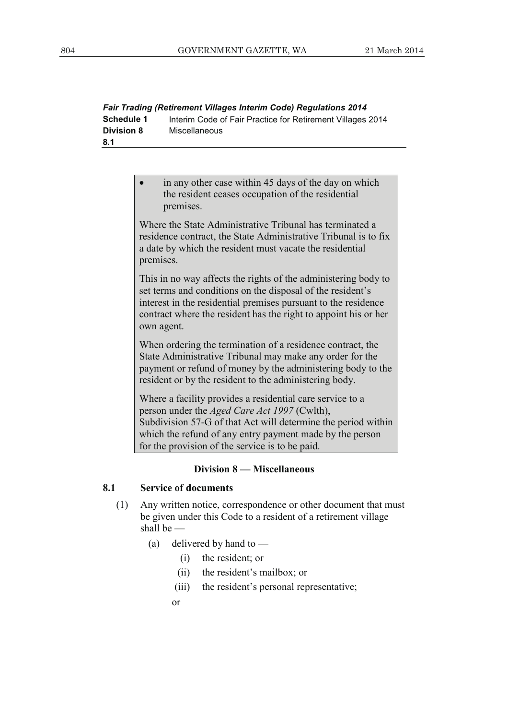| <b>Fair Trading (Retirement Villages Interim Code) Regulations 2014</b> |                                                            |  |  |  |
|-------------------------------------------------------------------------|------------------------------------------------------------|--|--|--|
| Schedule 1                                                              | Interim Code of Fair Practice for Retirement Villages 2014 |  |  |  |
| <b>Division 8</b>                                                       | <b>Miscellaneous</b>                                       |  |  |  |
| 8.1                                                                     |                                                            |  |  |  |

 in any other case within 45 days of the day on which the resident ceases occupation of the residential premises.

Where the State Administrative Tribunal has terminated a residence contract, the State Administrative Tribunal is to fix a date by which the resident must vacate the residential premises.

This in no way affects the rights of the administering body to set terms and conditions on the disposal of the resident's interest in the residential premises pursuant to the residence contract where the resident has the right to appoint his or her own agent.

When ordering the termination of a residence contract, the State Administrative Tribunal may make any order for the payment or refund of money by the administering body to the resident or by the resident to the administering body.

Where a facility provides a residential care service to a person under the *Aged Care Act 1997* (Cwlth), Subdivision 57-G of that Act will determine the period within which the refund of any entry payment made by the person for the provision of the service is to be paid.

#### **Division 8 — Miscellaneous**

#### **8.1 Service of documents**

- (1) Any written notice, correspondence or other document that must be given under this Code to a resident of a retirement village shall be —
	- (a) delivered by hand to  $-$ 
		- (i) the resident; or
		- (ii) the resident's mailbox; or
		- (iii) the resident's personal representative;
		- or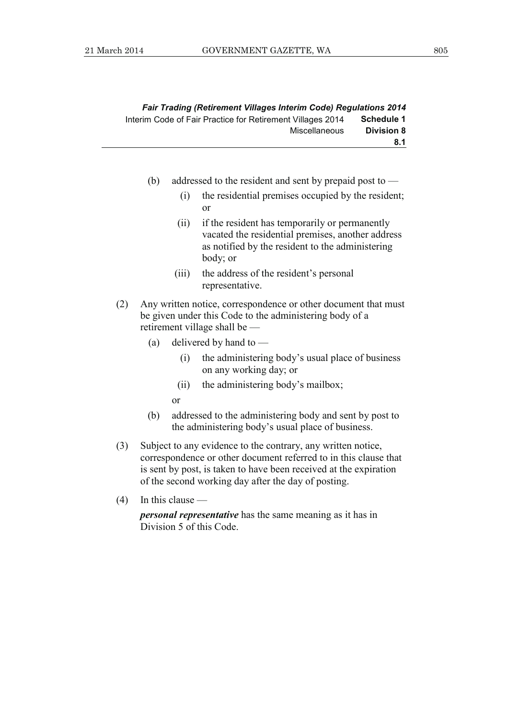|                   | <b>Fair Trading (Retirement Villages Interim Code) Regulations 2014</b> |
|-------------------|-------------------------------------------------------------------------|
| Schedule 1        | Interim Code of Fair Practice for Retirement Villages 2014              |
| <b>Division 8</b> | Miscellaneous                                                           |
| 8.1               |                                                                         |

- (b) addressed to the resident and sent by prepaid post to
	- (i) the residential premises occupied by the resident; or
	- (ii) if the resident has temporarily or permanently vacated the residential premises, another address as notified by the resident to the administering body; or
	- (iii) the address of the resident's personal representative.
- (2) Any written notice, correspondence or other document that must be given under this Code to the administering body of a retirement village shall be —
	- (a) delivered by hand to  $-$ 
		- (i) the administering body's usual place of business on any working day; or
		- (ii) the administering body's mailbox;

or

- (b) addressed to the administering body and sent by post to the administering body's usual place of business.
- (3) Subject to any evidence to the contrary, any written notice, correspondence or other document referred to in this clause that is sent by post, is taken to have been received at the expiration of the second working day after the day of posting.
- $(4)$  In this clause —

*personal representative* has the same meaning as it has in Division 5 of this Code.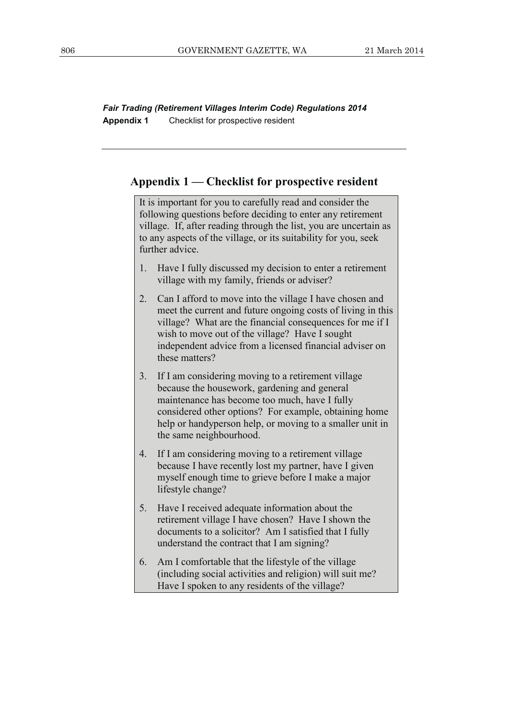*Fair Trading (Retirement Villages Interim Code) Regulations 2014*  **Appendix 1** Checklist for prospective resident

#### **Appendix 1 — Checklist for prospective resident**

It is important for you to carefully read and consider the following questions before deciding to enter any retirement village. If, after reading through the list, you are uncertain as to any aspects of the village, or its suitability for you, seek further advice.

- 1. Have I fully discussed my decision to enter a retirement village with my family, friends or adviser?
- 2. Can I afford to move into the village I have chosen and meet the current and future ongoing costs of living in this village? What are the financial consequences for me if I wish to move out of the village? Have I sought independent advice from a licensed financial adviser on these matters?
- 3. If I am considering moving to a retirement village because the housework, gardening and general maintenance has become too much, have I fully considered other options? For example, obtaining home help or handyperson help, or moving to a smaller unit in the same neighbourhood.
- 4. If I am considering moving to a retirement village because I have recently lost my partner, have I given myself enough time to grieve before I make a major lifestyle change?
- 5. Have I received adequate information about the retirement village I have chosen? Have I shown the documents to a solicitor? Am I satisfied that I fully understand the contract that I am signing?
- 6. Am I comfortable that the lifestyle of the village (including social activities and religion) will suit me? Have I spoken to any residents of the village?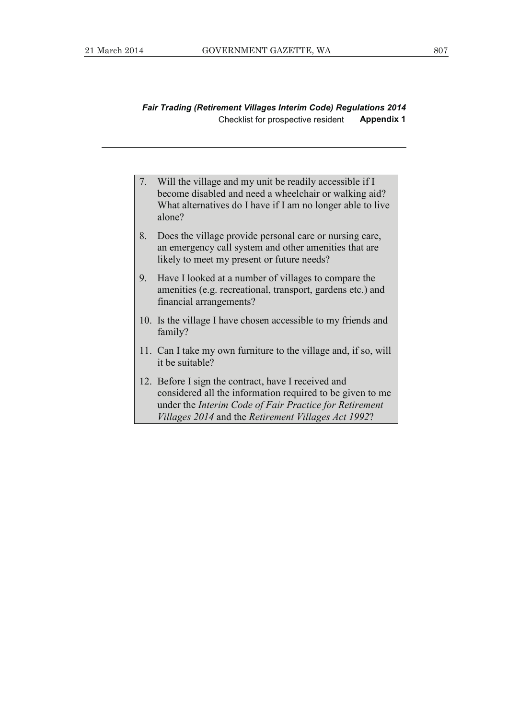- 7. Will the village and my unit be readily accessible if I become disabled and need a wheelchair or walking aid? What alternatives do I have if I am no longer able to live alone?
- 8. Does the village provide personal care or nursing care, an emergency call system and other amenities that are likely to meet my present or future needs?
- 9. Have I looked at a number of villages to compare the amenities (e.g. recreational, transport, gardens etc.) and financial arrangements?
- 10. Is the village I have chosen accessible to my friends and family?
- 11. Can I take my own furniture to the village and, if so, will it be suitable?
- 12. Before I sign the contract, have I received and considered all the information required to be given to me under the *Interim Code of Fair Practice for Retirement Villages 2014* and the *Retirement Villages Act 1992*?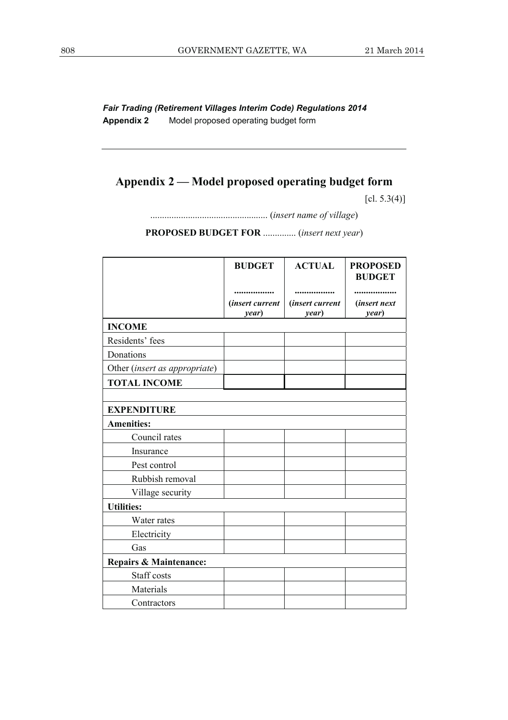*Fair Trading (Retirement Villages Interim Code) Regulations 2014*  **Appendix 2** Model proposed operating budget form

### **Appendix 2 — Model proposed operating budget form**

 $[cl. 5.3(4)]$ 

.................................................. (*insert name of village*)

**PROPOSED BUDGET FOR** .............. (*insert next year*)

|                                   | <b>BUDGET</b>                       | <b>ACTUAL</b>                       | <b>PROPOSED</b><br><b>BUDGET</b>  |
|-----------------------------------|-------------------------------------|-------------------------------------|-----------------------------------|
|                                   | <br><i>(insert current</i><br>year) | <br><i>(insert current</i><br>year) | <br><i>(insert next)</i><br>year) |
| <b>INCOME</b>                     |                                     |                                     |                                   |
| Residents' fees                   |                                     |                                     |                                   |
| Donations                         |                                     |                                     |                                   |
| Other (insert as appropriate)     |                                     |                                     |                                   |
| <b>TOTAL INCOME</b>               |                                     |                                     |                                   |
|                                   |                                     |                                     |                                   |
| <b>EXPENDITURE</b>                |                                     |                                     |                                   |
| <b>Amenities:</b>                 |                                     |                                     |                                   |
| Council rates                     |                                     |                                     |                                   |
| Insurance                         |                                     |                                     |                                   |
| Pest control                      |                                     |                                     |                                   |
| Rubbish removal                   |                                     |                                     |                                   |
| Village security                  |                                     |                                     |                                   |
| <b>Utilities:</b>                 |                                     |                                     |                                   |
| Water rates                       |                                     |                                     |                                   |
| Electricity                       |                                     |                                     |                                   |
| Gas                               |                                     |                                     |                                   |
| <b>Repairs &amp; Maintenance:</b> |                                     |                                     |                                   |
| Staff costs                       |                                     |                                     |                                   |
| Materials                         |                                     |                                     |                                   |
| Contractors                       |                                     |                                     |                                   |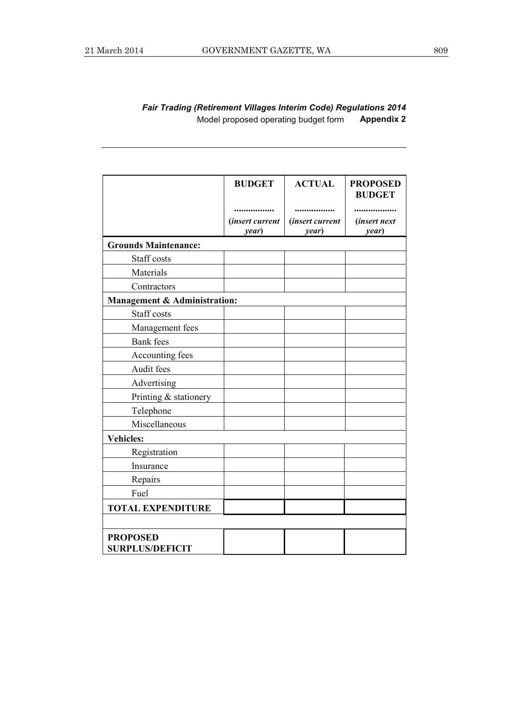#### *Fair Trading (Retirement Villages Interim Code) Regulations 2014*  Model proposed operating budget form **Appendix 2**

|                                           | <b>BUDGET</b>                   | <b>ACTUAL</b>                   | <b>PROPOSED</b><br><b>BUDGET</b> |
|-------------------------------------------|---------------------------------|---------------------------------|----------------------------------|
|                                           |                                 |                                 |                                  |
|                                           | <i>(insert current</i><br>year) | <i>(insert current</i><br>year) | <i>(insert next</i><br>year)     |
| <b>Grounds Maintenance:</b>               |                                 |                                 |                                  |
| Staff costs                               |                                 |                                 |                                  |
| Materials                                 |                                 |                                 |                                  |
| Contractors                               |                                 |                                 |                                  |
| <b>Management &amp; Administration:</b>   |                                 |                                 |                                  |
| Staff costs                               |                                 |                                 |                                  |
| Management fees                           |                                 |                                 |                                  |
| <b>Bank</b> fees                          |                                 |                                 |                                  |
| Accounting fees                           |                                 |                                 |                                  |
| Audit fees                                |                                 |                                 |                                  |
| Advertising                               |                                 |                                 |                                  |
| Printing & stationery                     |                                 |                                 |                                  |
| Telephone                                 |                                 |                                 |                                  |
| Miscellaneous                             |                                 |                                 |                                  |
| <b>Vehicles:</b>                          |                                 |                                 |                                  |
| Registration                              |                                 |                                 |                                  |
| Insurance                                 |                                 |                                 |                                  |
| Repairs                                   |                                 |                                 |                                  |
| Fuel                                      |                                 |                                 |                                  |
| <b>TOTAL EXPENDITURE</b>                  |                                 |                                 |                                  |
|                                           |                                 |                                 |                                  |
| <b>PROPOSED</b><br><b>SURPLUS/DEFICIT</b> |                                 |                                 |                                  |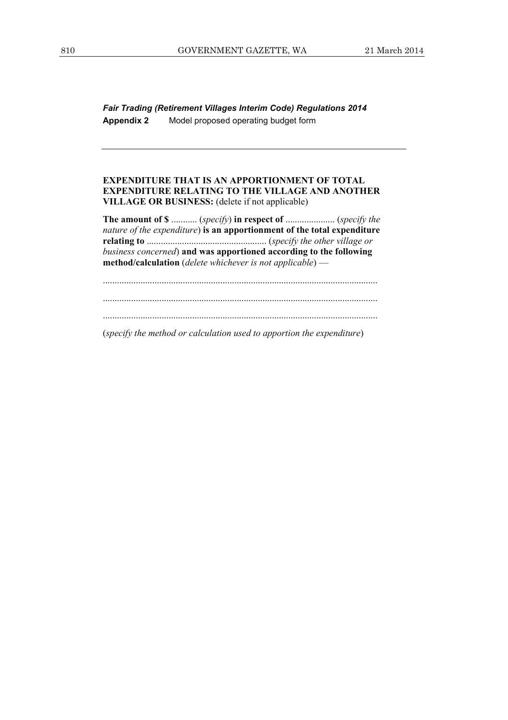*Fair Trading (Retirement Villages Interim Code) Regulations 2014*  **Appendix 2** Model proposed operating budget form

#### **EXPENDITURE THAT IS AN APPORTIONMENT OF TOTAL EXPENDITURE RELATING TO THE VILLAGE AND ANOTHER VILLAGE OR BUSINESS:** (delete if not applicable)

**The amount of \$** ........... (*specify*) **in respect of** ..................... (*specify the nature of the expenditure*) **is an apportionment of the total expenditure relating to** ................................................... (*specify the other village or business concerned*) **and was apportioned according to the following method/calculation** (*delete whichever is not applicable*) —

.....................................................................................................................

.....................................................................................................................

.....................................................................................................................

(*specify the method or calculation used to apportion the expenditure*)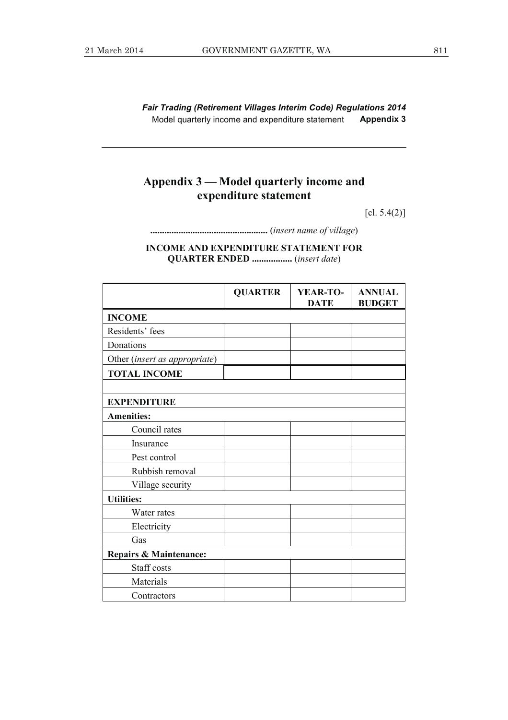*Fair Trading (Retirement Villages Interim Code) Regulations 2014*  Model quarterly income and expenditure statement **Appendix 3**

### **Appendix 3 — Model quarterly income and expenditure statement**

 $[cl. 5.4(2)]$ 

**..................................................** (*insert name of village*)

**INCOME AND EXPENDITURE STATEMENT FOR QUARTER ENDED .................** (*insert date*)

|                                   | <b>QUARTER</b> | <b>YEAR-TO-</b><br><b>DATE</b> | <b>ANNUAL</b><br><b>BUDGET</b> |
|-----------------------------------|----------------|--------------------------------|--------------------------------|
| <b>INCOME</b>                     |                |                                |                                |
| Residents' fees                   |                |                                |                                |
| Donations                         |                |                                |                                |
| Other (insert as appropriate)     |                |                                |                                |
| <b>TOTAL INCOME</b>               |                |                                |                                |
|                                   |                |                                |                                |
| <b>EXPENDITURE</b>                |                |                                |                                |
| <b>Amenities:</b>                 |                |                                |                                |
| Council rates                     |                |                                |                                |
| Insurance                         |                |                                |                                |
| Pest control                      |                |                                |                                |
| Rubbish removal                   |                |                                |                                |
| Village security                  |                |                                |                                |
| <b>Utilities:</b>                 |                |                                |                                |
| Water rates                       |                |                                |                                |
| Electricity                       |                |                                |                                |
| Gas                               |                |                                |                                |
| <b>Repairs &amp; Maintenance:</b> |                |                                |                                |
| Staff costs                       |                |                                |                                |
| Materials                         |                |                                |                                |
| Contractors                       |                |                                |                                |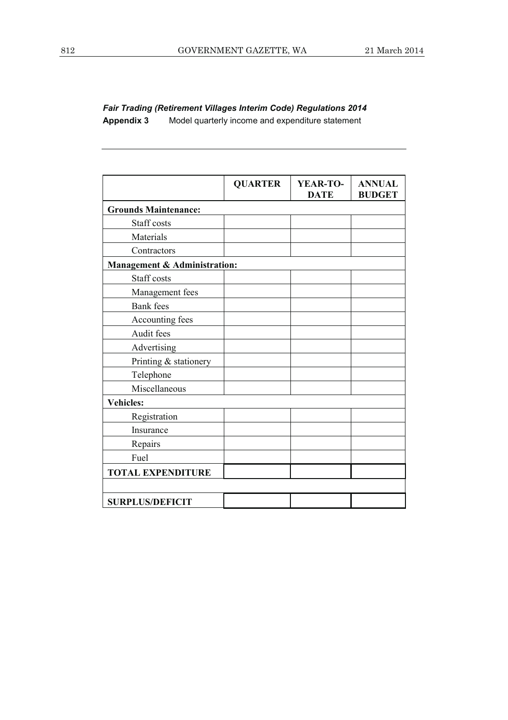#### *Fair Trading (Retirement Villages Interim Code) Regulations 2014*  **Appendix 3** Model quarterly income and expenditure statement

|                              | <b>QUARTER</b> | YEAR-TO-<br><b>DATE</b> | <b>ANNUAL</b><br><b>BUDGET</b> |  |
|------------------------------|----------------|-------------------------|--------------------------------|--|
| <b>Grounds Maintenance:</b>  |                |                         |                                |  |
| Staff costs                  |                |                         |                                |  |
| Materials                    |                |                         |                                |  |
| Contractors                  |                |                         |                                |  |
| Management & Administration: |                |                         |                                |  |
| Staff costs                  |                |                         |                                |  |
| Management fees              |                |                         |                                |  |
| <b>Bank</b> fees             |                |                         |                                |  |
| Accounting fees              |                |                         |                                |  |
| Audit fees                   |                |                         |                                |  |
| Advertising                  |                |                         |                                |  |
| Printing & stationery        |                |                         |                                |  |
| Telephone                    |                |                         |                                |  |
| Miscellaneous                |                |                         |                                |  |
| <b>Vehicles:</b>             |                |                         |                                |  |
| Registration                 |                |                         |                                |  |
| Insurance                    |                |                         |                                |  |
| Repairs                      |                |                         |                                |  |
| Fuel                         |                |                         |                                |  |
| <b>TOTAL EXPENDITURE</b>     |                |                         |                                |  |
|                              |                |                         |                                |  |
| <b>SURPLUS/DEFICIT</b>       |                |                         |                                |  |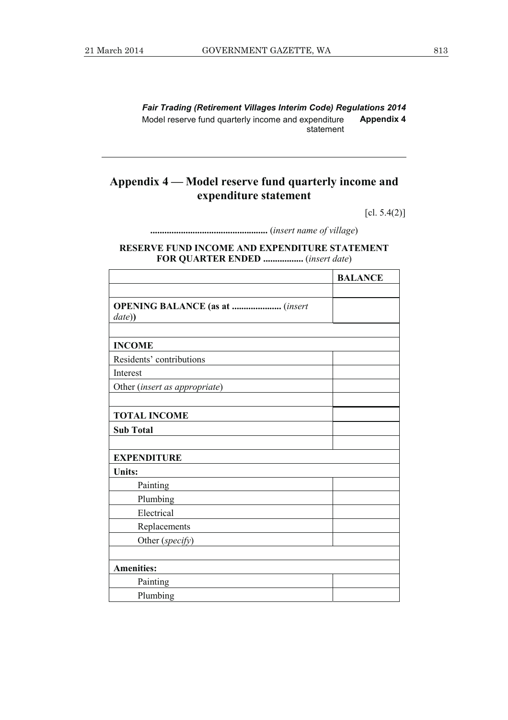*Fair Trading (Retirement Villages Interim Code) Regulations 2014*  Model reserve fund quarterly income and expenditure statement **Appendix 4**

### **Appendix 4 — Model reserve fund quarterly income and expenditure statement**

 $[cl. 5.4(2)]$ 

**..................................................** (*insert name of village*)

#### **RESERVE FUND INCOME AND EXPENDITURE STATEMENT FOR QUARTER ENDED .................** (*insert date*)

|                                                 | <b>BALANCE</b> |  |  |
|-------------------------------------------------|----------------|--|--|
|                                                 |                |  |  |
| <b>OPENING BALANCE</b> (as at  (insert<br>date) |                |  |  |
|                                                 |                |  |  |
| <b>INCOME</b>                                   |                |  |  |
| Residents' contributions                        |                |  |  |
| Interest                                        |                |  |  |
| Other (insert as appropriate)                   |                |  |  |
|                                                 |                |  |  |
| <b>TOTAL INCOME</b>                             |                |  |  |
| <b>Sub Total</b>                                |                |  |  |
|                                                 |                |  |  |
| <b>EXPENDITURE</b>                              |                |  |  |
| <b>Units:</b>                                   |                |  |  |
| Painting                                        |                |  |  |
| Plumbing                                        |                |  |  |
| Electrical                                      |                |  |  |
| Replacements                                    |                |  |  |
| Other (specify)                                 |                |  |  |
|                                                 |                |  |  |
| <b>Amenities:</b>                               |                |  |  |
| Painting                                        |                |  |  |
| Plumbing                                        |                |  |  |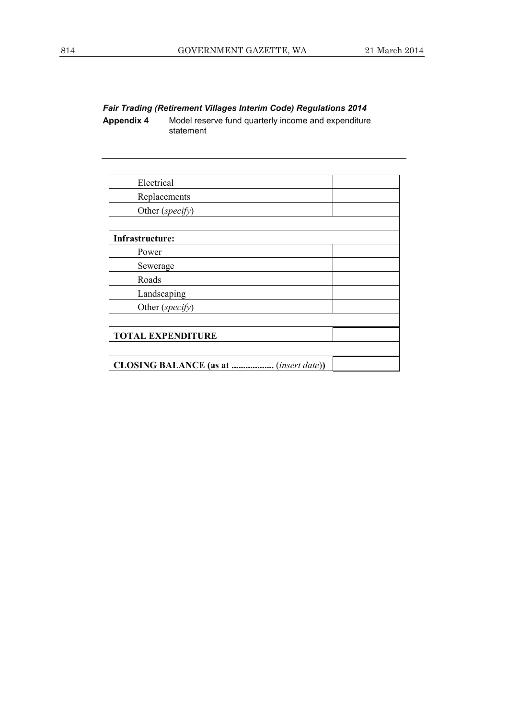## *Fair Trading (Retirement Villages Interim Code) Regulations 2014*

**Appendix 4** Model reserve fund quarterly income and expenditure statement

| Electrical                                    |  |
|-----------------------------------------------|--|
| Replacements                                  |  |
| Other (specify)                               |  |
|                                               |  |
| <b>Infrastructure:</b>                        |  |
| Power                                         |  |
| Sewerage                                      |  |
| Roads                                         |  |
| Landscaping                                   |  |
| Other (specify)                               |  |
|                                               |  |
| <b>TOTAL EXPENDITURE</b>                      |  |
|                                               |  |
| <b>CLOSING BALANCE</b> (as at<br>(inset date) |  |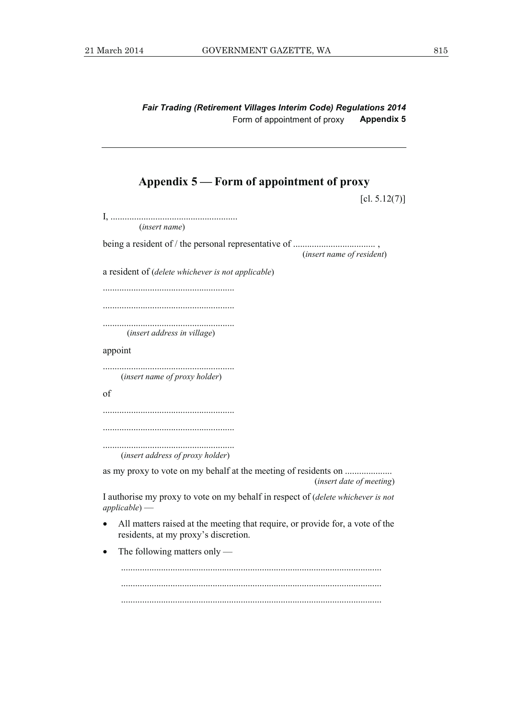*Fair Trading (Retirement Villages Interim Code) Regulations 2014*  Form of appointment of proxy **Appendix 5**

#### **Appendix 5 — Form of appointment of proxy**

 $[cl. 5.12(7)]$ 

I, ...................................................... (*insert name*) being a resident of / the personal representative of ................................... , (*insert name of resident*) a resident of (*delete whichever is not applicable*) ........................................................ ........................................................ ........................................................ (*insert address in village*) appoint ........................................................ (*insert name of proxy holder*) of ........................................................ ........................................................ ........................................................ (*insert address of proxy holder*) as my proxy to vote on my behalf at the meeting of residents on ....................... (*insert date of meeting*) I authorise my proxy to vote on my behalf in respect of (*delete whichever is not applicable*) — All matters raised at the meeting that require, or provide for, a vote of the residents, at my proxy's discretion. • The following matters only — ............................................................................................................... ............................................................................................................... ...............................................................................................................